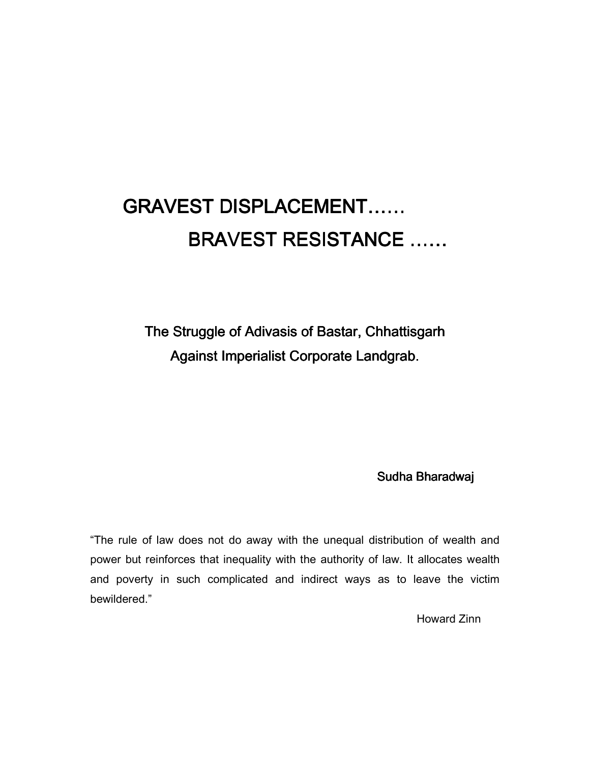# GRAVEST DISPLACEMENT…… BRAVEST RESISTANCE ……

The Struggle of Adivasis of Bastar, Chhattisgarh Against Imperialist Corporate Landgrab.

Sudha Bharadwaj

"The rule of law does not do away with the unequal distribution of wealth and power but reinforces that inequality with the authority of law. It allocates wealth and poverty in such complicated and indirect ways as to leave the victim bewildered."

Howard Zinn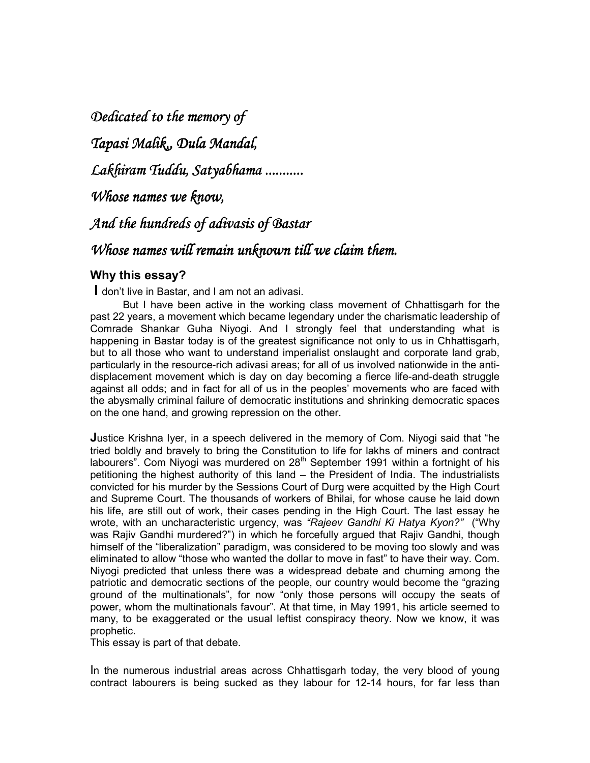*Dedicated to the memory of Dedicated to of* 

*Tapasi Malik,, Dula Mandal, Dula Mandal,* 

*Lakhiram Tuddu, Satyabhama ........... Lakhiram Tuddu, Satyabhama ram ...........* 

*Whose names we know,* 

*And the hundreds of adivasis of Bastar And the* 

# *Whose names will remain unknown till we claim them.*

# **Why this essay?**

 **I** don't live in Bastar, and I am not an adivasi.

But I have been active in the working class movement of Chhattisgarh for the past 22 years, a movement which became legendary under the charismatic leadership of Comrade Shankar Guha Niyogi. And I strongly feel that understanding what is happening in Bastar today is of the greatest significance not only to us in Chhattisgarh, but to all those who want to understand imperialist onslaught and corporate land grab, particularly in the resource-rich adivasi areas; for all of us involved nationwide in the antidisplacement movement which is day on day becoming a fierce life-and-death struggle against all odds; and in fact for all of us in the peoples' movements who are faced with the abysmally criminal failure of democratic institutions and shrinking democratic spaces on the one hand, and growing repression on the other.

**J**ustice Krishna Iyer, in a speech delivered in the memory of Com. Niyogi said that "he tried boldly and bravely to bring the Constitution to life for lakhs of miners and contract labourers". Com Niyogi was murdered on 28<sup>th</sup> September 1991 within a fortnight of his petitioning the highest authority of this land – the President of India. The industrialists convicted for his murder by the Sessions Court of Durg were acquitted by the High Court and Supreme Court. The thousands of workers of Bhilai, for whose cause he laid down his life, are still out of work, their cases pending in the High Court. The last essay he wrote, with an uncharacteristic urgency, was *"Rajeev Gandhi Ki Hatya Kyon?"* ("Why was Rajiv Gandhi murdered?") in which he forcefully argued that Rajiv Gandhi, though himself of the "liberalization" paradigm, was considered to be moving too slowly and was eliminated to allow "those who wanted the dollar to move in fast" to have their way. Com. Niyogi predicted that unless there was a widespread debate and churning among the patriotic and democratic sections of the people, our country would become the "grazing ground of the multinationals", for now "only those persons will occupy the seats of power, whom the multinationals favour". At that time, in May 1991, his article seemed to many, to be exaggerated or the usual leftist conspiracy theory. Now we know, it was prophetic.

This essay is part of that debate.

In the numerous industrial areas across Chhattisgarh today, the very blood of young contract labourers is being sucked as they labour for 12-14 hours, for far less than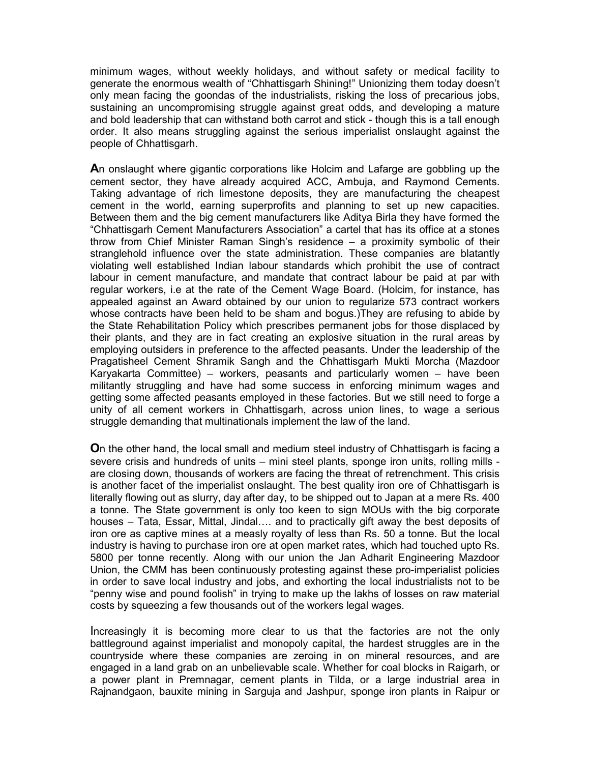minimum wages, without weekly holidays, and without safety or medical facility to generate the enormous wealth of "Chhattisgarh Shining!" Unionizing them today doesn't only mean facing the goondas of the industrialists, risking the loss of precarious jobs, sustaining an uncompromising struggle against great odds, and developing a mature and bold leadership that can withstand both carrot and stick - though this is a tall enough order. It also means struggling against the serious imperialist onslaught against the people of Chhattisgarh.

**A**n onslaught where gigantic corporations like Holcim and Lafarge are gobbling up the cement sector, they have already acquired ACC, Ambuja, and Raymond Cements. Taking advantage of rich limestone deposits, they are manufacturing the cheapest cement in the world, earning superprofits and planning to set up new capacities. Between them and the big cement manufacturers like Aditya Birla they have formed the "Chhattisgarh Cement Manufacturers Association" a cartel that has its office at a stones throw from Chief Minister Raman Singh's residence – a proximity symbolic of their stranglehold influence over the state administration. These companies are blatantly violating well established Indian labour standards which prohibit the use of contract labour in cement manufacture, and mandate that contract labour be paid at par with regular workers, i.e at the rate of the Cement Wage Board. (Holcim, for instance, has appealed against an Award obtained by our union to regularize 573 contract workers whose contracts have been held to be sham and bogus.)They are refusing to abide by the State Rehabilitation Policy which prescribes permanent jobs for those displaced by their plants, and they are in fact creating an explosive situation in the rural areas by employing outsiders in preference to the affected peasants. Under the leadership of the Pragatisheel Cement Shramik Sangh and the Chhattisgarh Mukti Morcha (Mazdoor Karyakarta Committee) – workers, peasants and particularly women – have been militantly struggling and have had some success in enforcing minimum wages and getting some affected peasants employed in these factories. But we still need to forge a unity of all cement workers in Chhattisgarh, across union lines, to wage a serious struggle demanding that multinationals implement the law of the land.

**O**n the other hand, the local small and medium steel industry of Chhattisgarh is facing a severe crisis and hundreds of units – mini steel plants, sponge iron units, rolling mills are closing down, thousands of workers are facing the threat of retrenchment. This crisis is another facet of the imperialist onslaught. The best quality iron ore of Chhattisgarh is literally flowing out as slurry, day after day, to be shipped out to Japan at a mere Rs. 400 a tonne. The State government is only too keen to sign MOUs with the big corporate houses – Tata, Essar, Mittal, Jindal…. and to practically gift away the best deposits of iron ore as captive mines at a measly royalty of less than Rs. 50 a tonne. But the local industry is having to purchase iron ore at open market rates, which had touched upto Rs. 5800 per tonne recently. Along with our union the Jan Adharit Engineering Mazdoor Union, the CMM has been continuously protesting against these pro-imperialist policies in order to save local industry and jobs, and exhorting the local industrialists not to be "penny wise and pound foolish" in trying to make up the lakhs of losses on raw material costs by squeezing a few thousands out of the workers legal wages.

Increasingly it is becoming more clear to us that the factories are not the only battleground against imperialist and monopoly capital, the hardest struggles are in the countryside where these companies are zeroing in on mineral resources, and are engaged in a land grab on an unbelievable scale. Whether for coal blocks in Raigarh, or a power plant in Premnagar, cement plants in Tilda, or a large industrial area in Rajnandgaon, bauxite mining in Sarguja and Jashpur, sponge iron plants in Raipur or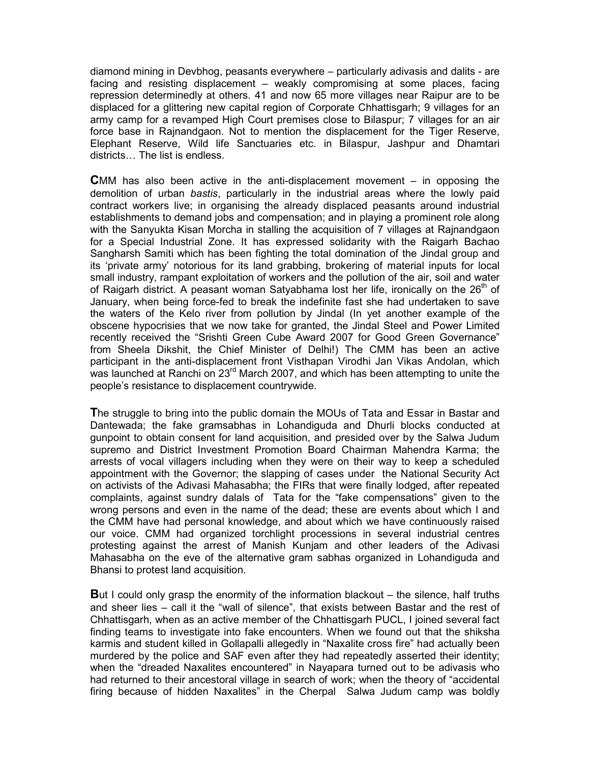diamond mining in Devbhog, peasants everywhere – particularly adivasis and dalits - are facing and resisting displacement – weakly compromising at some places, facing repression determinedly at others. 41 and now 65 more villages near Raipur are to be displaced for a glittering new capital region of Corporate Chhattisgarh; 9 villages for an army camp for a revamped High Court premises close to Bilaspur; 7 villages for an air force base in Rajnandgaon. Not to mention the displacement for the Tiger Reserve, Elephant Reserve, Wild life Sanctuaries etc. in Bilaspur, Jashpur and Dhamtari districts… The list is endless.

**C**MM has also been active in the anti-displacement movement – in opposing the demolition of urban *bastis*, particularly in the industrial areas where the lowly paid contract workers live; in organising the already displaced peasants around industrial establishments to demand jobs and compensation; and in playing a prominent role along with the Sanyukta Kisan Morcha in stalling the acquisition of 7 villages at Rajnandgaon for a Special Industrial Zone. It has expressed solidarity with the Raigarh Bachao Sangharsh Samiti which has been fighting the total domination of the Jindal group and its 'private army' notorious for its land grabbing, brokering of material inputs for local small industry, rampant exploitation of workers and the pollution of the air, soil and water of Raigarh district. A peasant woman Satyabhama lost her life, ironically on the  $26<sup>th</sup>$  of January, when being force-fed to break the indefinite fast she had undertaken to save the waters of the Kelo river from pollution by Jindal (In yet another example of the obscene hypocrisies that we now take for granted, the Jindal Steel and Power Limited recently received the "Srishti Green Cube Award 2007 for Good Green Governance" from Sheela Dikshit, the Chief Minister of Delhi!) The CMM has been an active participant in the anti-displacement front Visthapan Virodhi Jan Vikas Andolan, which was launched at Ranchi on 23<sup>rd</sup> March 2007, and which has been attempting to unite the people's resistance to displacement countrywide.

**T**he struggle to bring into the public domain the MOUs of Tata and Essar in Bastar and Dantewada; the fake gramsabhas in Lohandiguda and Dhurli blocks conducted at gunpoint to obtain consent for land acquisition, and presided over by the Salwa Judum supremo and District Investment Promotion Board Chairman Mahendra Karma; the arrests of vocal villagers including when they were on their way to keep a scheduled appointment with the Governor; the slapping of cases under the National Security Act on activists of the Adivasi Mahasabha; the FIRs that were finally lodged, after repeated complaints, against sundry dalals of Tata for the "fake compensations" given to the wrong persons and even in the name of the dead; these are events about which I and the CMM have had personal knowledge, and about which we have continuously raised our voice. CMM had organized torchlight processions in several industrial centres protesting against the arrest of Manish Kunjam and other leaders of the Adivasi Mahasabha on the eve of the alternative gram sabhas organized in Lohandiguda and Bhansi to protest land acquisition.

**B**ut I could only grasp the enormity of the information blackout – the silence, half truths and sheer lies – call it the "wall of silence", that exists between Bastar and the rest of Chhattisgarh, when as an active member of the Chhattisgarh PUCL, I joined several fact finding teams to investigate into fake encounters. When we found out that the shiksha karmis and student killed in Gollapalli allegedly in "Naxalite cross fire" had actually been murdered by the police and SAF even after they had repeatedly asserted their identity; when the "dreaded Naxalites encountered" in Nayapara turned out to be adivasis who had returned to their ancestoral village in search of work; when the theory of "accidental firing because of hidden Naxalites" in the Cherpal Salwa Judum camp was boldly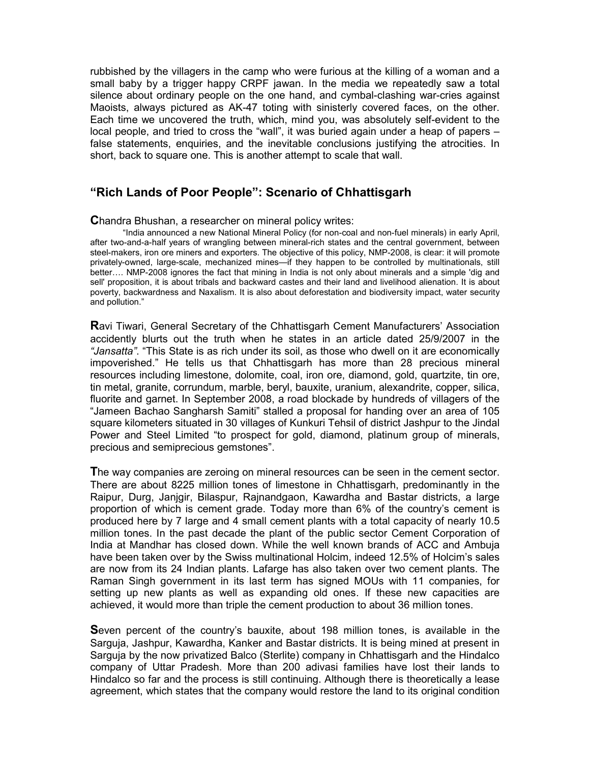rubbished by the villagers in the camp who were furious at the killing of a woman and a small baby by a trigger happy CRPF jawan. In the media we repeatedly saw a total silence about ordinary people on the one hand, and cymbal-clashing war-cries against Maoists, always pictured as AK-47 toting with sinisterly covered faces, on the other. Each time we uncovered the truth, which, mind you, was absolutely self-evident to the local people, and tried to cross the "wall", it was buried again under a heap of papers – false statements, enquiries, and the inevitable conclusions justifying the atrocities. In short, back to square one. This is another attempt to scale that wall.

# **"Rich Lands of Poor People": Scenario of Chhattisgarh**

## **C**handra Bhushan, a researcher on mineral policy writes:

"India announced a new National Mineral Policy (for non-coal and non-fuel minerals) in early April, after two-and-a-half years of wrangling between mineral-rich states and the central government, between steel-makers, iron ore miners and exporters. The objective of this policy, NMP-2008, is clear: it will promote privately-owned, large-scale, mechanized mines—if they happen to be controlled by multinationals, still better…. NMP-2008 ignores the fact that mining in India is not only about minerals and a simple 'dig and sell' proposition, it is about tribals and backward castes and their land and livelihood alienation. It is about poverty, backwardness and Naxalism. It is also about deforestation and biodiversity impact, water security and pollution."

**R**avi Tiwari, General Secretary of the Chhattisgarh Cement Manufacturers' Association accidently blurts out the truth when he states in an article dated 25/9/2007 in the *"Jansatta"*. "This State is as rich under its soil, as those who dwell on it are economically impoverished." He tells us that Chhattisgarh has more than 28 precious mineral resources including limestone, dolomite, coal, iron ore, diamond, gold, quartzite, tin ore, tin metal, granite, corrundum, marble, beryl, bauxite, uranium, alexandrite, copper, silica, fluorite and garnet. In September 2008, a road blockade by hundreds of villagers of the "Jameen Bachao Sangharsh Samiti" stalled a proposal for handing over an area of 105 square kilometers situated in 30 villages of Kunkuri Tehsil of district Jashpur to the Jindal Power and Steel Limited "to prospect for gold, diamond, platinum group of minerals, precious and semiprecious gemstones".

The way companies are zeroing on mineral resources can be seen in the cement sector. There are about 8225 million tones of limestone in Chhattisgarh, predominantly in the Raipur, Durg, Janjgir, Bilaspur, Rajnandgaon, Kawardha and Bastar districts, a large proportion of which is cement grade. Today more than 6% of the country's cement is produced here by 7 large and 4 small cement plants with a total capacity of nearly 10.5 million tones. In the past decade the plant of the public sector Cement Corporation of India at Mandhar has closed down. While the well known brands of ACC and Ambuja have been taken over by the Swiss multinational Holcim, indeed 12.5% of Holcim's sales are now from its 24 Indian plants. Lafarge has also taken over two cement plants. The Raman Singh government in its last term has signed MOUs with 11 companies, for setting up new plants as well as expanding old ones. If these new capacities are achieved, it would more than triple the cement production to about 36 million tones.

**S**even percent of the country's bauxite, about 198 million tones, is available in the Sarguja, Jashpur, Kawardha, Kanker and Bastar districts. It is being mined at present in Sarguja by the now privatized Balco (Sterlite) company in Chhattisgarh and the Hindalco company of Uttar Pradesh. More than 200 adivasi families have lost their lands to Hindalco so far and the process is still continuing. Although there is theoretically a lease agreement, which states that the company would restore the land to its original condition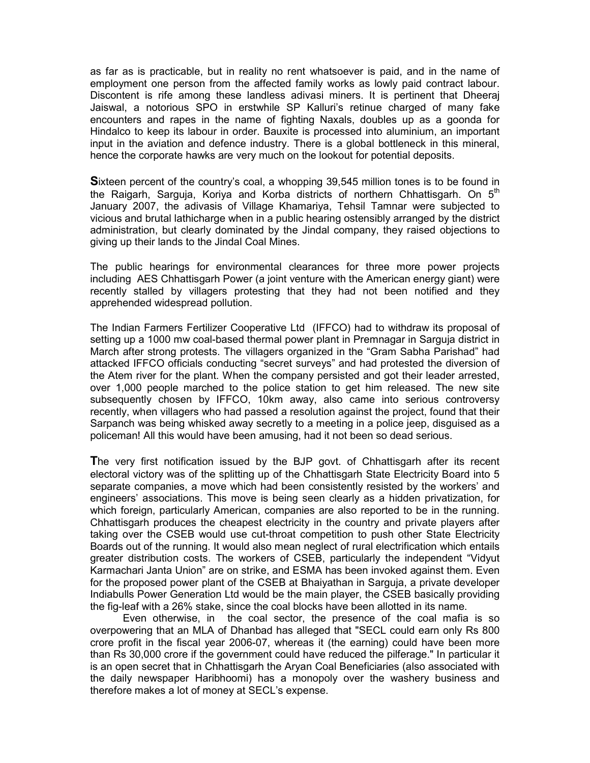as far as is practicable, but in reality no rent whatsoever is paid, and in the name of employment one person from the affected family works as lowly paid contract labour. Discontent is rife among these landless adivasi miners. It is pertinent that Dheeraj Jaiswal, a notorious SPO in erstwhile SP Kalluri's retinue charged of many fake encounters and rapes in the name of fighting Naxals, doubles up as a goonda for Hindalco to keep its labour in order. Bauxite is processed into aluminium, an important input in the aviation and defence industry. There is a global bottleneck in this mineral, hence the corporate hawks are very much on the lookout for potential deposits.

**S**ixteen percent of the country's coal, a whopping 39,545 million tones is to be found in the Raigarh, Sarguja, Koriya and Korba districts of northern Chhattisgarh. On  $5<sup>th</sup>$ January 2007, the adivasis of Village Khamariya, Tehsil Tamnar were subjected to vicious and brutal lathicharge when in a public hearing ostensibly arranged by the district administration, but clearly dominated by the Jindal company, they raised objections to giving up their lands to the Jindal Coal Mines.

The public hearings for environmental clearances for three more power projects including AES Chhattisgarh Power (a joint venture with the American energy giant) were recently stalled by villagers protesting that they had not been notified and they apprehended widespread pollution.

The Indian Farmers Fertilizer Cooperative Ltd (IFFCO) had to withdraw its proposal of setting up a 1000 mw coal-based thermal power plant in Premnagar in Sarguja district in March after strong protests. The villagers organized in the "Gram Sabha Parishad" had attacked IFFCO officials conducting "secret surveys" and had protested the diversion of the Atem river for the plant. When the company persisted and got their leader arrested, over 1,000 people marched to the police station to get him released. The new site subsequently chosen by IFFCO, 10km away, also came into serious controversy recently, when villagers who had passed a resolution against the project, found that their Sarpanch was being whisked away secretly to a meeting in a police jeep, disguised as a policeman! All this would have been amusing, had it not been so dead serious.

**T**he very first notification issued by the BJP govt. of Chhattisgarh after its recent electoral victory was of the splitting up of the Chhattisgarh State Electricity Board into 5 separate companies, a move which had been consistently resisted by the workers' and engineers' associations. This move is being seen clearly as a hidden privatization, for which foreign, particularly American, companies are also reported to be in the running. Chhattisgarh produces the cheapest electricity in the country and private players after taking over the CSEB would use cut-throat competition to push other State Electricity Boards out of the running. It would also mean neglect of rural electrification which entails greater distribution costs. The workers of CSEB, particularly the independent "Vidyut Karmachari Janta Union" are on strike, and ESMA has been invoked against them. Even for the proposed power plant of the CSEB at Bhaiyathan in Sarguja, a private developer Indiabulls Power Generation Ltd would be the main player, the CSEB basically providing the fig-leaf with a 26% stake, since the coal blocks have been allotted in its name.

Even otherwise, in the coal sector, the presence of the coal mafia is so overpowering that an MLA of Dhanbad has alleged that "SECL could earn only Rs 800 crore profit in the fiscal year 2006-07, whereas it (the earning) could have been more than Rs 30,000 crore if the government could have reduced the pilferage." In particular it is an open secret that in Chhattisgarh the Aryan Coal Beneficiaries (also associated with the daily newspaper Haribhoomi) has a monopoly over the washery business and therefore makes a lot of money at SECL's expense.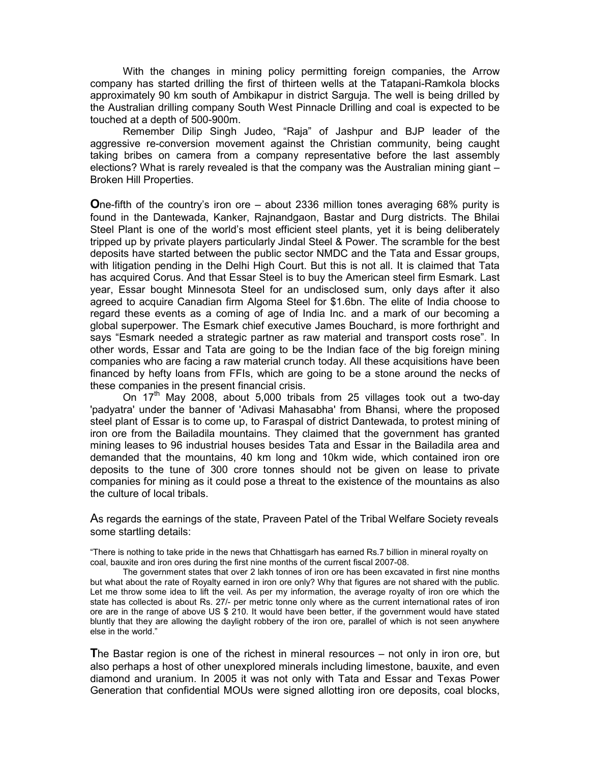With the changes in mining policy permitting foreign companies, the Arrow company has started drilling the first of thirteen wells at the Tatapani-Ramkola blocks approximately 90 km south of Ambikapur in district Sarguja. The well is being drilled by the Australian drilling company South West Pinnacle Drilling and coal is expected to be touched at a depth of 500-900m.

Remember Dilip Singh Judeo, "Raja" of Jashpur and BJP leader of the aggressive re-conversion movement against the Christian community, being caught taking bribes on camera from a company representative before the last assembly elections? What is rarely revealed is that the company was the Australian mining giant – Broken Hill Properties.

**O**ne-fifth of the country's iron ore – about 2336 million tones averaging 68% purity is found in the Dantewada, Kanker, Rajnandgaon, Bastar and Durg districts. The Bhilai Steel Plant is one of the world's most efficient steel plants, yet it is being deliberately tripped up by private players particularly Jindal Steel & Power. The scramble for the best deposits have started between the public sector NMDC and the Tata and Essar groups, with litigation pending in the Delhi High Court. But this is not all. It is claimed that Tata has acquired Corus. And that Essar Steel is to buy the American steel firm Esmark. Last year, Essar bought Minnesota Steel for an undisclosed sum, only days after it also agreed to acquire Canadian firm Algoma Steel for \$1.6bn. The elite of India choose to regard these events as a coming of age of India Inc. and a mark of our becoming a global superpower. The Esmark chief executive James Bouchard, is more forthright and says "Esmark needed a strategic partner as raw material and transport costs rose". In other words, Essar and Tata are going to be the Indian face of the big foreign mining companies who are facing a raw material crunch today. All these acquisitions have been financed by hefty loans from FFIs, which are going to be a stone around the necks of these companies in the present financial crisis.

On  $17<sup>th</sup>$  May 2008, about 5,000 tribals from 25 villages took out a two-day 'padyatra' under the banner of 'Adivasi Mahasabha' from Bhansi, where the proposed steel plant of Essar is to come up, to Faraspal of district Dantewada, to protest mining of iron ore from the Bailadila mountains. They claimed that the government has granted mining leases to 96 industrial houses besides Tata and Essar in the Bailadila area and demanded that the mountains, 40 km long and 10km wide, which contained iron ore deposits to the tune of 300 crore tonnes should not be given on lease to private companies for mining as it could pose a threat to the existence of the mountains as also the culture of local tribals.

As regards the earnings of the state, Praveen Patel of the Tribal Welfare Society reveals some startling details:

"There is nothing to take pride in the news that Chhattisgarh has earned Rs.7 billion in mineral royalty on coal, bauxite and iron ores during the first nine months of the current fiscal 2007-08.

The government states that over 2 lakh tonnes of iron ore has been excavated in first nine months but what about the rate of Royalty earned in iron ore only? Why that figures are not shared with the public. Let me throw some idea to lift the veil. As per my information, the average royalty of iron ore which the state has collected is about Rs. 27/- per metric tonne only where as the current international rates of iron ore are in the range of above US \$ 210. It would have been better, if the government would have stated bluntly that they are allowing the daylight robbery of the iron ore, parallel of which is not seen anywhere else in the world."

**T**he Bastar region is one of the richest in mineral resources – not only in iron ore, but also perhaps a host of other unexplored minerals including limestone, bauxite, and even diamond and uranium. In 2005 it was not only with Tata and Essar and Texas Power Generation that confidential MOUs were signed allotting iron ore deposits, coal blocks,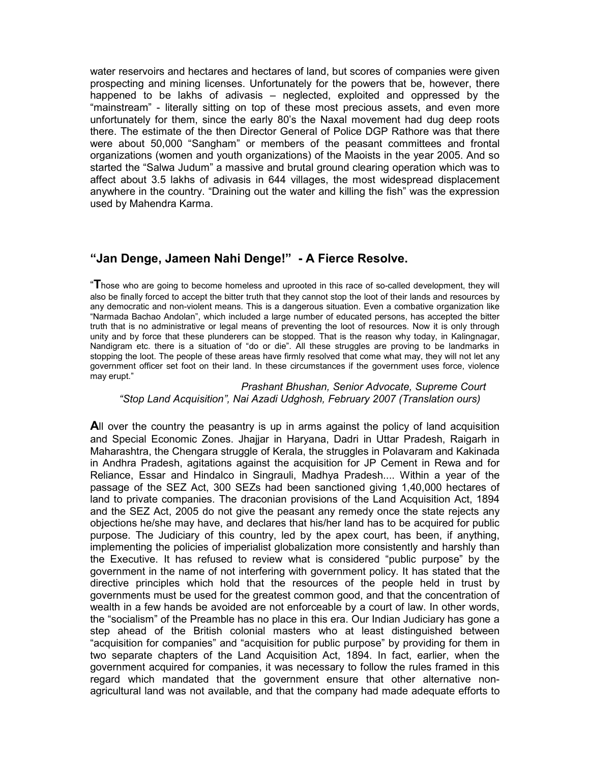water reservoirs and hectares and hectares of land, but scores of companies were given prospecting and mining licenses. Unfortunately for the powers that be, however, there happened to be lakhs of adivasis – neglected, exploited and oppressed by the "mainstream" - literally sitting on top of these most precious assets, and even more unfortunately for them, since the early 80's the Naxal movement had dug deep roots there. The estimate of the then Director General of Police DGP Rathore was that there were about 50,000 "Sangham" or members of the peasant committees and frontal organizations (women and youth organizations) of the Maoists in the year 2005. And so started the "Salwa Judum" a massive and brutal ground clearing operation which was to affect about 3.5 lakhs of adivasis in 644 villages, the most widespread displacement anywhere in the country. "Draining out the water and killing the fish" was the expression used by Mahendra Karma.

# **"Jan Denge, Jameen Nahi Denge!" - A Fierce Resolve.**

"**T**hose who are going to become homeless and uprooted in this race of so-called development, they will also be finally forced to accept the bitter truth that they cannot stop the loot of their lands and resources by any democratic and non-violent means. This is a dangerous situation. Even a combative organization like "Narmada Bachao Andolan", which included a large number of educated persons, has accepted the bitter truth that is no administrative or legal means of preventing the loot of resources. Now it is only through unity and by force that these plunderers can be stopped. That is the reason why today, in Kalingnagar, Nandigram etc. there is a situation of "do or die". All these struggles are proving to be landmarks in stopping the loot. The people of these areas have firmly resolved that come what may, they will not let any government officer set foot on their land. In these circumstances if the government uses force, violence may erupt."

## *Prashant Bhushan, Senior Advocate, Supreme Court "Stop Land Acquisition", Nai Azadi Udghosh, February 2007 (Translation ours)*

**A**ll over the country the peasantry is up in arms against the policy of land acquisition and Special Economic Zones. Jhajjar in Haryana, Dadri in Uttar Pradesh, Raigarh in Maharashtra, the Chengara struggle of Kerala, the struggles in Polavaram and Kakinada in Andhra Pradesh, agitations against the acquisition for JP Cement in Rewa and for Reliance, Essar and Hindalco in Singrauli, Madhya Pradesh.... Within a year of the passage of the SEZ Act, 300 SEZs had been sanctioned giving 1,40,000 hectares of land to private companies. The draconian provisions of the Land Acquisition Act, 1894 and the SEZ Act, 2005 do not give the peasant any remedy once the state rejects any objections he/she may have, and declares that his/her land has to be acquired for public purpose. The Judiciary of this country, led by the apex court, has been, if anything, implementing the policies of imperialist globalization more consistently and harshly than the Executive. It has refused to review what is considered "public purpose" by the government in the name of not interfering with government policy. It has stated that the directive principles which hold that the resources of the people held in trust by governments must be used for the greatest common good, and that the concentration of wealth in a few hands be avoided are not enforceable by a court of law. In other words, the "socialism" of the Preamble has no place in this era. Our Indian Judiciary has gone a step ahead of the British colonial masters who at least distinguished between "acquisition for companies" and "acquisition for public purpose" by providing for them in two separate chapters of the Land Acquisition Act, 1894. In fact, earlier, when the government acquired for companies, it was necessary to follow the rules framed in this regard which mandated that the government ensure that other alternative nonagricultural land was not available, and that the company had made adequate efforts to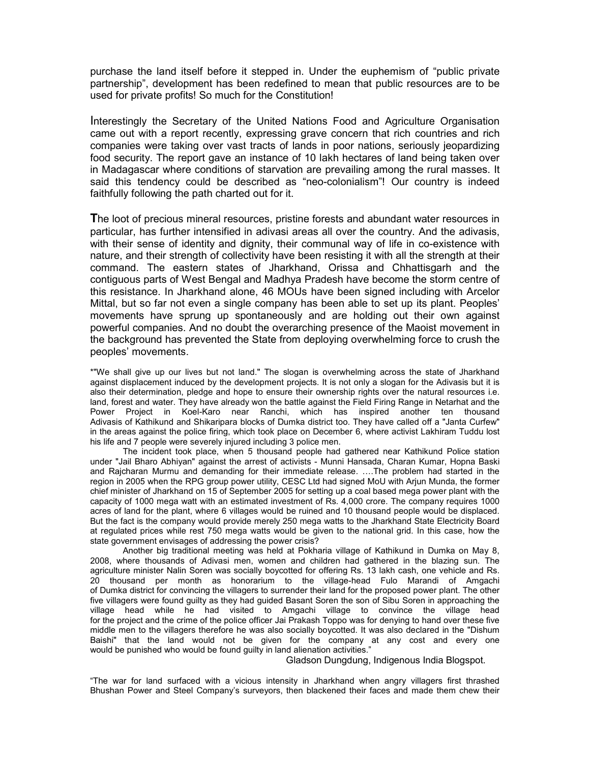purchase the land itself before it stepped in. Under the euphemism of "public private partnership", development has been redefined to mean that public resources are to be used for private profits! So much for the Constitution!

Interestingly the Secretary of the United Nations Food and Agriculture Organisation came out with a report recently, expressing grave concern that rich countries and rich companies were taking over vast tracts of lands in poor nations, seriously jeopardizing food security. The report gave an instance of 10 lakh hectares of land being taken over in Madagascar where conditions of starvation are prevailing among the rural masses. It said this tendency could be described as "neo-colonialism"! Our country is indeed faithfully following the path charted out for it.

**T**he loot of precious mineral resources, pristine forests and abundant water resources in particular, has further intensified in adivasi areas all over the country. And the adivasis, with their sense of identity and dignity, their communal way of life in co-existence with nature, and their strength of collectivity have been resisting it with all the strength at their command. The eastern states of Jharkhand, Orissa and Chhattisgarh and the contiguous parts of West Bengal and Madhya Pradesh have become the storm centre of this resistance. In Jharkhand alone, 46 MOUs have been signed including with Arcelor Mittal, but so far not even a single company has been able to set up its plant. Peoples' movements have sprung up spontaneously and are holding out their own against powerful companies. And no doubt the overarching presence of the Maoist movement in the background has prevented the State from deploying overwhelming force to crush the peoples' movements.

\*"We shall give up our lives but not land." The slogan is overwhelming across the state of Jharkhand against displacement induced by the development projects. It is not only a slogan for the Adivasis but it is also their determination, pledge and hope to ensure their ownership rights over the natural resources i.e. land, forest and water. They have already won the battle against the Field Firing Range in Netarhat and the Power Project in Koel-Karo near Ranchi, which has inspired another ten thousand Adivasis of Kathikund and Shikaripara blocks of Dumka district too. They have called off a "Janta Curfew" in the areas against the police firing, which took place on December 6, where activist Lakhiram Tuddu lost his life and 7 people were severely injured including 3 police men.

The incident took place, when 5 thousand people had gathered near Kathikund Police station under "Jail Bharo Abhiyan" against the arrest of activists - Munni Hansada, Charan Kumar, Hopna Baski and Rajcharan Murmu and demanding for their immediate release. ….The problem had started in the region in 2005 when the RPG group power utility, CESC Ltd had signed MoU with Arjun Munda, the former chief minister of Jharkhand on 15 of September 2005 for setting up a coal based mega power plant with the capacity of 1000 mega watt with an estimated investment of Rs. 4,000 crore. The company requires 1000 acres of land for the plant, where 6 villages would be ruined and 10 thousand people would be displaced. But the fact is the company would provide merely 250 mega watts to the Jharkhand State Electricity Board at regulated prices while rest 750 mega watts would be given to the national grid. In this case, how the state government envisages of addressing the power crisis?

Another big traditional meeting was held at Pokharia village of Kathikund in Dumka on May 8, 2008, where thousands of Adivasi men, women and children had gathered in the blazing sun. The agriculture minister Nalin Soren was socially boycotted for offering Rs. 13 lakh cash, one vehicle and Rs. 20 thousand per month as honorarium to the village-head Fulo Marandi of Amgachi of Dumka district for convincing the villagers to surrender their land for the proposed power plant. The other five villagers were found guilty as they had guided Basant Soren the son of Sibu Soren in approaching the village head while he had visited to Amgachi village to convince the village head for the project and the crime of the police officer Jai Prakash Toppo was for denying to hand over these five middle men to the villagers therefore he was also socially boycotted. It was also declared in the "Dishum Baishi" that the land would not be given for the company at any cost and every one would be punished who would be found guilty in land alienation activities."

Gladson Dungdung, Indigenous India Blogspot.

"The war for land surfaced with a vicious intensity in Jharkhand when angry villagers first thrashed Bhushan Power and Steel Company's surveyors, then blackened their faces and made them chew their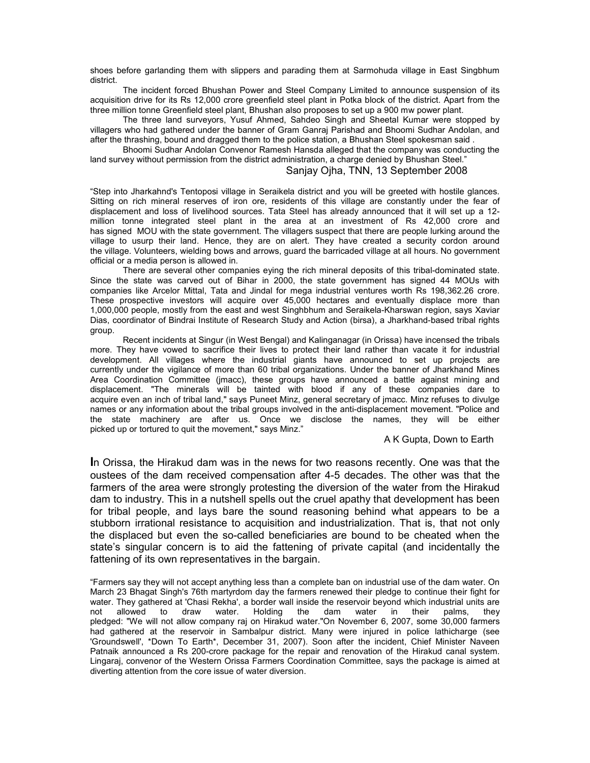shoes before garlanding them with slippers and parading them at Sarmohuda village in East Singbhum district.

 The incident forced Bhushan Power and Steel Company Limited to announce suspension of its acquisition drive for its Rs 12,000 crore greenfield steel plant in Potka block of the district. Apart from the three million tonne Greenfield steel plant, Bhushan also proposes to set up a 900 mw power plant.

 The three land surveyors, Yusuf Ahmed, Sahdeo Singh and Sheetal Kumar were stopped by villagers who had gathered under the banner of Gram Ganraj Parishad and Bhoomi Sudhar Andolan, and after the thrashing, bound and dragged them to the police station, a Bhushan Steel spokesman said .

 Bhoomi Sudhar Andolan Convenor Ramesh Hansda alleged that the company was conducting the land survey without permission from the district administration, a charge denied by Bhushan Steel."

## Sanjay Ojha, TNN, 13 September 2008

"Step into Jharkahnd's Tentoposi village in Seraikela district and you will be greeted with hostile glances. Sitting on rich mineral reserves of iron ore, residents of this village are constantly under the fear of displacement and loss of livelihood sources. Tata Steel has already announced that it will set up a 12 million tonne integrated steel plant in the area at an investment of Rs 42,000 crore and has signed MOU with the state government. The villagers suspect that there are people lurking around the village to usurp their land. Hence, they are on alert. They have created a security cordon around the village. Volunteers, wielding bows and arrows, guard the barricaded village at all hours. No government official or a media person is allowed in.

There are several other companies eying the rich mineral deposits of this tribal-dominated state. Since the state was carved out of Bihar in 2000, the state government has signed 44 MOUs with companies like Arcelor Mittal, Tata and Jindal for mega industrial ventures worth Rs 198,362.26 crore. These prospective investors will acquire over 45,000 hectares and eventually displace more than 1,000,000 people, mostly from the east and west Singhbhum and Seraikela-Kharswan region, says Xaviar Dias, coordinator of Bindrai Institute of Research Study and Action (birsa), a Jharkhand-based tribal rights group.

Recent incidents at Singur (in West Bengal) and Kalinganagar (in Orissa) have incensed the tribals more. They have vowed to sacrifice their lives to protect their land rather than vacate it for industrial development. All villages where the industrial giants have announced to set up projects are currently under the vigilance of more than 60 tribal organizations. Under the banner of Jharkhand Mines Area Coordination Committee (jmacc), these groups have announced a battle against mining and displacement. "The minerals will be tainted with blood if any of these companies dare to acquire even an inch of tribal land," says Puneet Minz, general secretary of jmacc. Minz refuses to divulge names or any information about the tribal groups involved in the anti-displacement movement. "Police and the state machinery are after us. Once we disclose the names, they will be either picked up or tortured to quit the movement," says Minz."

#### A K Gupta, Down to Earth

**I**n Orissa, the Hirakud dam was in the news for two reasons recently. One was that the oustees of the dam received compensation after 4-5 decades. The other was that the farmers of the area were strongly protesting the diversion of the water from the Hirakud dam to industry. This in a nutshell spells out the cruel apathy that development has been for tribal people, and lays bare the sound reasoning behind what appears to be a stubborn irrational resistance to acquisition and industrialization. That is, that not only the displaced but even the so-called beneficiaries are bound to be cheated when the state's singular concern is to aid the fattening of private capital (and incidentally the fattening of its own representatives in the bargain.

"Farmers say they will not accept anything less than a complete ban on industrial use of the dam water. On March 23 Bhagat Singh's 76th martyrdom day the farmers renewed their pledge to continue their fight for water. They gathered at 'Chasi Rekha', a border wall inside the reservoir beyond which industrial units are not<br>not allowed to draw water. Holding the dam water in their palms. they not allowed to draw water. Holding the dam water in their palms, they pledged: "We will not allow company raj on Hirakud water."On November 6, 2007, some 30,000 farmers had gathered at the reservoir in Sambalpur district. Many were injured in police lathicharge (see 'Groundswell', \*Down To Earth\*, December 31, 2007). Soon after the incident, Chief Minister Naveen Patnaik announced a Rs 200-crore package for the repair and renovation of the Hirakud canal system. Lingaraj, convenor of the Western Orissa Farmers Coordination Committee, says the package is aimed at diverting attention from the core issue of water diversion.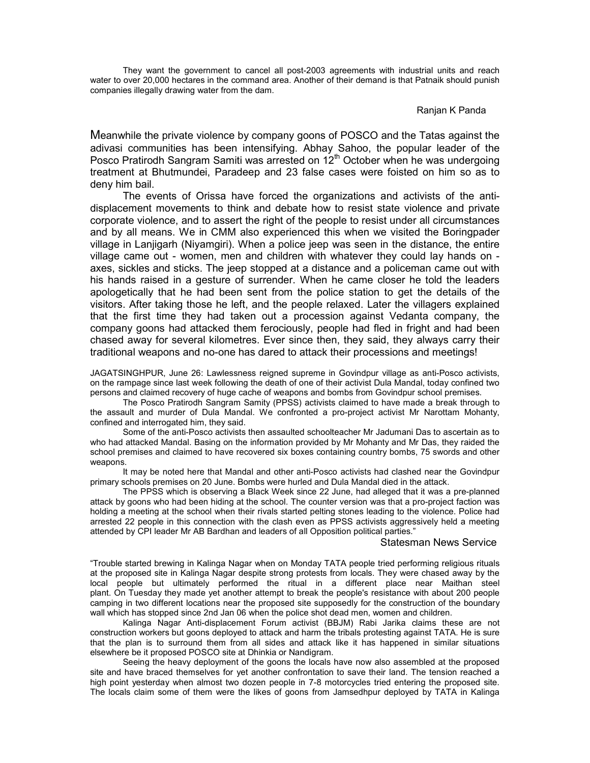They want the government to cancel all post-2003 agreements with industrial units and reach water to over 20,000 hectares in the command area. Another of their demand is that Patnaik should punish companies illegally drawing water from the dam.

## Ranjan K Panda

Meanwhile the private violence by company goons of POSCO and the Tatas against the adivasi communities has been intensifying. Abhay Sahoo, the popular leader of the Posco Pratirodh Sangram Samiti was arrested on 12<sup>th</sup> October when he was undergoing treatment at Bhutmundei, Paradeep and 23 false cases were foisted on him so as to deny him bail.

The events of Orissa have forced the organizations and activists of the antidisplacement movements to think and debate how to resist state violence and private corporate violence, and to assert the right of the people to resist under all circumstances and by all means. We in CMM also experienced this when we visited the Boringpader village in Lanjigarh (Niyamgiri). When a police jeep was seen in the distance, the entire village came out - women, men and children with whatever they could lay hands on axes, sickles and sticks. The jeep stopped at a distance and a policeman came out with his hands raised in a gesture of surrender. When he came closer he told the leaders apologetically that he had been sent from the police station to get the details of the visitors. After taking those he left, and the people relaxed. Later the villagers explained that the first time they had taken out a procession against Vedanta company, the company goons had attacked them ferociously, people had fled in fright and had been chased away for several kilometres. Ever since then, they said, they always carry their traditional weapons and no-one has dared to attack their processions and meetings!

JAGATSINGHPUR, June 26: Lawlessness reigned supreme in Govindpur village as anti-Posco activists, on the rampage since last week following the death of one of their activist Dula Mandal, today confined two persons and claimed recovery of huge cache of weapons and bombs from Govindpur school premises.

The Posco Pratirodh Sangram Samity (PPSS) activists claimed to have made a break through to the assault and murder of Dula Mandal. We confronted a pro-project activist Mr Narottam Mohanty, confined and interrogated him, they said.

Some of the anti-Posco activists then assaulted schoolteacher Mr Jadumani Das to ascertain as to who had attacked Mandal. Basing on the information provided by Mr Mohanty and Mr Das, they raided the school premises and claimed to have recovered six boxes containing country bombs, 75 swords and other weapons.

It may be noted here that Mandal and other anti-Posco activists had clashed near the Govindpur primary schools premises on 20 June. Bombs were hurled and Dula Mandal died in the attack.

The PPSS which is observing a Black Week since 22 June, had alleged that it was a pre-planned attack by goons who had been hiding at the school. The counter version was that a pro-project faction was holding a meeting at the school when their rivals started pelting stones leading to the violence. Police had arrested 22 people in this connection with the clash even as PPSS activists aggressively held a meeting attended by CPI leader Mr AB Bardhan and leaders of all Opposition political parties."

## Statesman News Service

"Trouble started brewing in Kalinga Nagar when on Monday TATA people tried performing religious rituals at the proposed site in Kalinga Nagar despite strong protests from locals. They were chased away by the local people but ultimately performed the ritual in a different place near Maithan steel plant. On Tuesday they made yet another attempt to break the people's resistance with about 200 people camping in two different locations near the proposed site supposedly for the construction of the boundary wall which has stopped since 2nd Jan 06 when the police shot dead men, women and children.

Kalinga Nagar Anti-displacement Forum activist (BBJM) Rabi Jarika claims these are not construction workers but goons deployed to attack and harm the tribals protesting against TATA. He is sure that the plan is to surround them from all sides and attack like it has happened in similar situations elsewhere be it proposed POSCO site at Dhinkia or Nandigram.

Seeing the heavy deployment of the goons the locals have now also assembled at the proposed site and have braced themselves for yet another confrontation to save their land. The tension reached a high point yesterday when almost two dozen people in 7-8 motorcycles tried entering the proposed site. The locals claim some of them were the likes of goons from Jamsedhpur deployed by TATA in Kalinga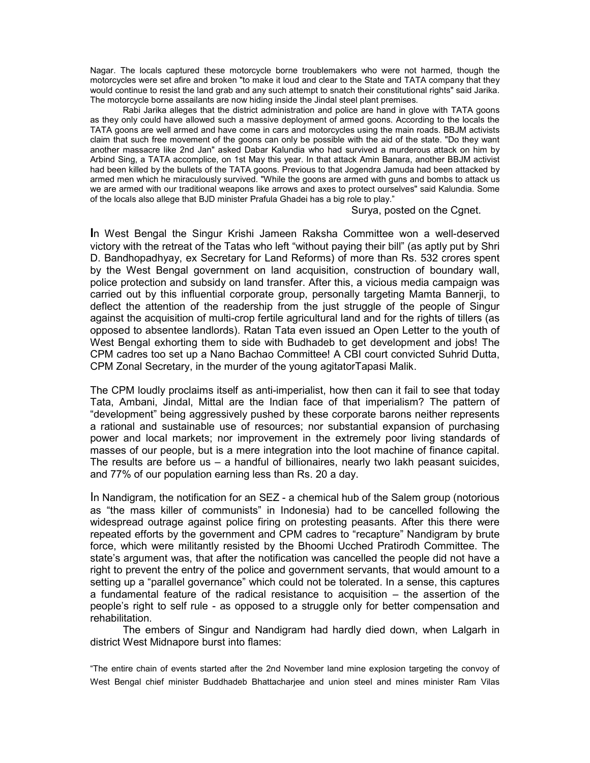Nagar. The locals captured these motorcycle borne troublemakers who were not harmed, though the motorcycles were set afire and broken "to make it loud and clear to the State and TATA company that they would continue to resist the land grab and any such attempt to snatch their constitutional rights" said Jarika. The motorcycle borne assailants are now hiding inside the Jindal steel plant premises.

Rabi Jarika alleges that the district administration and police are hand in glove with TATA goons as they only could have allowed such a massive deployment of armed goons. According to the locals the TATA goons are well armed and have come in cars and motorcycles using the main roads. BBJM activists claim that such free movement of the goons can only be possible with the aid of the state. "Do they want another massacre like 2nd Jan" asked Dabar Kalundia who had survived a murderous attack on him by Arbind Sing, a TATA accomplice, on 1st May this year. In that attack Amin Banara, another BBJM activist had been killed by the bullets of the TATA goons. Previous to that Jogendra Jamuda had been attacked by armed men which he miraculously survived. "While the goons are armed with guns and bombs to attack us we are armed with our traditional weapons like arrows and axes to protect ourselves" said Kalundia. Some of the locals also allege that BJD minister Prafula Ghadei has a big role to play."

Surya, posted on the Cgnet.

**I**n West Bengal the Singur Krishi Jameen Raksha Committee won a well-deserved victory with the retreat of the Tatas who left "without paying their bill" (as aptly put by Shri D. Bandhopadhyay, ex Secretary for Land Reforms) of more than Rs. 532 crores spent by the West Bengal government on land acquisition, construction of boundary wall, police protection and subsidy on land transfer. After this, a vicious media campaign was carried out by this influential corporate group, personally targeting Mamta Bannerji, to deflect the attention of the readership from the just struggle of the people of Singur against the acquisition of multi-crop fertile agricultural land and for the rights of tillers (as opposed to absentee landlords). Ratan Tata even issued an Open Letter to the youth of West Bengal exhorting them to side with Budhadeb to get development and jobs! The CPM cadres too set up a Nano Bachao Committee! A CBI court convicted Suhrid Dutta, CPM Zonal Secretary, in the murder of the young agitatorTapasi Malik.

The CPM loudly proclaims itself as anti-imperialist, how then can it fail to see that today Tata, Ambani, Jindal, Mittal are the Indian face of that imperialism? The pattern of "development" being aggressively pushed by these corporate barons neither represents a rational and sustainable use of resources; nor substantial expansion of purchasing power and local markets; nor improvement in the extremely poor living standards of masses of our people, but is a mere integration into the loot machine of finance capital. The results are before us – a handful of billionaires, nearly two lakh peasant suicides, and 77% of our population earning less than Rs. 20 a day.

In Nandigram, the notification for an SEZ - a chemical hub of the Salem group (notorious as "the mass killer of communists" in Indonesia) had to be cancelled following the widespread outrage against police firing on protesting peasants. After this there were repeated efforts by the government and CPM cadres to "recapture" Nandigram by brute force, which were militantly resisted by the Bhoomi Ucched Pratirodh Committee. The state's argument was, that after the notification was cancelled the people did not have a right to prevent the entry of the police and government servants, that would amount to a setting up a "parallel governance" which could not be tolerated. In a sense, this captures a fundamental feature of the radical resistance to acquisition – the assertion of the people's right to self rule - as opposed to a struggle only for better compensation and rehabilitation.

The embers of Singur and Nandigram had hardly died down, when Lalgarh in district West Midnapore burst into flames:

"The entire chain of events started after the 2nd November land mine explosion targeting the convoy of West Bengal chief minister Buddhadeb Bhattacharjee and union steel and mines minister Ram Vilas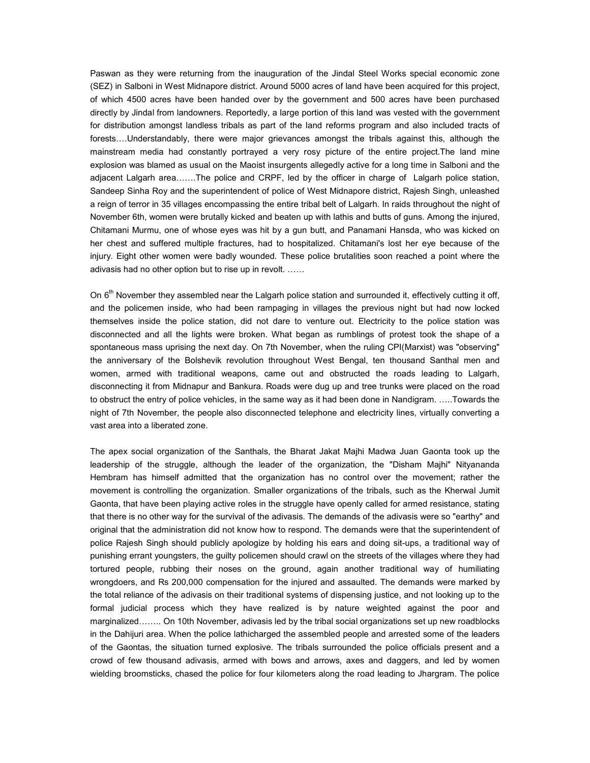Paswan as they were returning from the inauguration of the Jindal Steel Works special economic zone (SEZ) in Salboni in West Midnapore district. Around 5000 acres of land have been acquired for this project, of which 4500 acres have been handed over by the government and 500 acres have been purchased directly by Jindal from landowners. Reportedly, a large portion of this land was vested with the government for distribution amongst landless tribals as part of the land reforms program and also included tracts of forests….Understandably, there were major grievances amongst the tribals against this, although the mainstream media had constantly portrayed a very rosy picture of the entire project.The land mine explosion was blamed as usual on the Maoist insurgents allegedly active for a long time in Salboni and the adjacent Lalgarh area…….The police and CRPF, led by the officer in charge of Lalgarh police station, Sandeep Sinha Roy and the superintendent of police of West Midnapore district, Rajesh Singh, unleashed a reign of terror in 35 villages encompassing the entire tribal belt of Lalgarh. In raids throughout the night of November 6th, women were brutally kicked and beaten up with lathis and butts of guns. Among the injured, Chitamani Murmu, one of whose eyes was hit by a gun butt, and Panamani Hansda, who was kicked on her chest and suffered multiple fractures, had to hospitalized. Chitamani's lost her eye because of the injury. Eight other women were badly wounded. These police brutalities soon reached a point where the adivasis had no other option but to rise up in revolt. ……

On  $6<sup>th</sup>$  November they assembled near the Lalgarh police station and surrounded it, effectively cutting it off, and the policemen inside, who had been rampaging in villages the previous night but had now locked themselves inside the police station, did not dare to venture out. Electricity to the police station was disconnected and all the lights were broken. What began as rumblings of protest took the shape of a spontaneous mass uprising the next day. On 7th November, when the ruling CPI(Marxist) was "observing" the anniversary of the Bolshevik revolution throughout West Bengal, ten thousand Santhal men and women, armed with traditional weapons, came out and obstructed the roads leading to Lalgarh, disconnecting it from Midnapur and Bankura. Roads were dug up and tree trunks were placed on the road to obstruct the entry of police vehicles, in the same way as it had been done in Nandigram. …..Towards the night of 7th November, the people also disconnected telephone and electricity lines, virtually converting a vast area into a liberated zone.

The apex social organization of the Santhals, the Bharat Jakat Majhi Madwa Juan Gaonta took up the leadership of the struggle, although the leader of the organization, the "Disham Majhi" Nityananda Hembram has himself admitted that the organization has no control over the movement; rather the movement is controlling the organization. Smaller organizations of the tribals, such as the Kherwal Jumit Gaonta, that have been playing active roles in the struggle have openly called for armed resistance, stating that there is no other way for the survival of the adivasis. The demands of the adivasis were so "earthy" and original that the administration did not know how to respond. The demands were that the superintendent of police Rajesh Singh should publicly apologize by holding his ears and doing sit-ups, a traditional way of punishing errant youngsters, the guilty policemen should crawl on the streets of the villages where they had tortured people, rubbing their noses on the ground, again another traditional way of humiliating wrongdoers, and Rs 200,000 compensation for the injured and assaulted. The demands were marked by the total reliance of the adivasis on their traditional systems of dispensing justice, and not looking up to the formal judicial process which they have realized is by nature weighted against the poor and marginalized…….. On 10th November, adivasis led by the tribal social organizations set up new roadblocks in the Dahijuri area. When the police lathicharged the assembled people and arrested some of the leaders of the Gaontas, the situation turned explosive. The tribals surrounded the police officials present and a crowd of few thousand adivasis, armed with bows and arrows, axes and daggers, and led by women wielding broomsticks, chased the police for four kilometers along the road leading to Jhargram. The police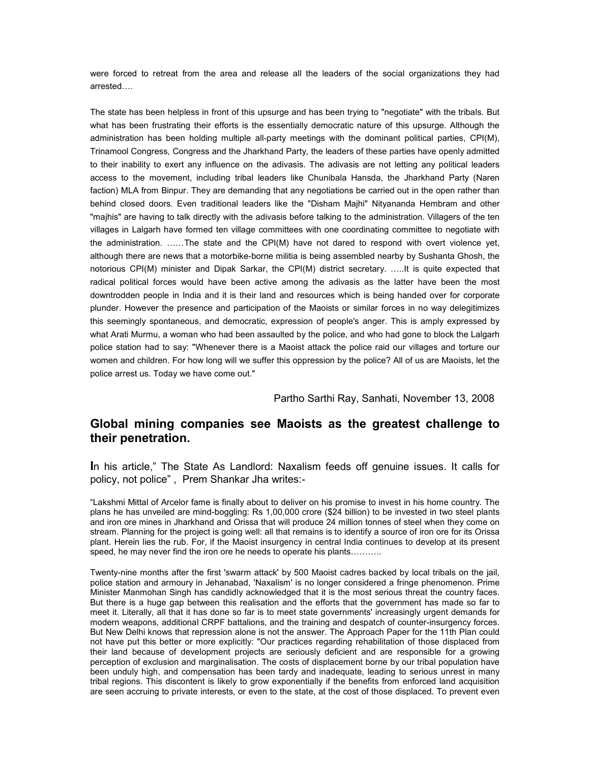were forced to retreat from the area and release all the leaders of the social organizations they had arrested….

The state has been helpless in front of this upsurge and has been trying to "negotiate" with the tribals. But what has been frustrating their efforts is the essentially democratic nature of this upsurge. Although the administration has been holding multiple all-party meetings with the dominant political parties, CPI(M), Trinamool Congress, Congress and the Jharkhand Party, the leaders of these parties have openly admitted to their inability to exert any influence on the adivasis. The adivasis are not letting any political leaders access to the movement, including tribal leaders like Chunibala Hansda, the Jharkhand Party (Naren faction) MLA from Binpur. They are demanding that any negotiations be carried out in the open rather than behind closed doors. Even traditional leaders like the "Disham Majhi" Nityananda Hembram and other "majhis" are having to talk directly with the adivasis before talking to the administration. Villagers of the ten villages in Lalgarh have formed ten village committees with one coordinating committee to negotiate with the administration. ……The state and the CPI(M) have not dared to respond with overt violence yet, although there are news that a motorbike-borne militia is being assembled nearby by Sushanta Ghosh, the notorious CPI(M) minister and Dipak Sarkar, the CPI(M) district secretary. …..It is quite expected that radical political forces would have been active among the adivasis as the latter have been the most downtrodden people in India and it is their land and resources which is being handed over for corporate plunder. However the presence and participation of the Maoists or similar forces in no way delegitimizes this seemingly spontaneous, and democratic, expression of people's anger. This is amply expressed by what Arati Murmu, a woman who had been assaulted by the police, and who had gone to block the Lalgarh police station had to say: "Whenever there is a Maoist attack the police raid our villages and torture our women and children. For how long will we suffer this oppression by the police? All of us are Maoists, let the police arrest us. Today we have come out."

Partho Sarthi Ray, Sanhati, November 13, 2008

# **Global mining companies see Maoists as the greatest challenge to their penetration.**

**I**n his article," The State As Landlord: Naxalism feeds off genuine issues. It calls for policy, not police" , Prem Shankar Jha writes:-

"Lakshmi Mittal of Arcelor fame is finally about to deliver on his promise to invest in his home country. The plans he has unveiled are mind-boggling: Rs 1,00,000 crore (\$24 billion) to be invested in two steel plants and iron ore mines in Jharkhand and Orissa that will produce 24 million tonnes of steel when they come on stream. Planning for the project is going well: all that remains is to identify a source of iron ore for its Orissa plant. Herein lies the rub. For, if the Maoist insurgency in central India continues to develop at its present speed, he may never find the iron ore he needs to operate his plants………..

Twenty-nine months after the first 'swarm attack' by 500 Maoist cadres backed by local tribals on the jail, police station and armoury in Jehanabad, 'Naxalism' is no longer considered a fringe phenomenon. Prime Minister Manmohan Singh has candidly acknowledged that it is the most serious threat the country faces. But there is a huge gap between this realisation and the efforts that the government has made so far to meet it. Literally, all that it has done so far is to meet state governments' increasingly urgent demands for modern weapons, additional CRPF battalions, and the training and despatch of counter-insurgency forces. But New Delhi knows that repression alone is not the answer. The Approach Paper for the 11th Plan could not have put this better or more explicitly: "Our practices regarding rehabilitation of those displaced from their land because of development projects are seriously deficient and are responsible for a growing perception of exclusion and marginalisation. The costs of displacement borne by our tribal population have been unduly high, and compensation has been tardy and inadequate, leading to serious unrest in many tribal regions. This discontent is likely to grow exponentially if the benefits from enforced land acquisition are seen accruing to private interests, or even to the state, at the cost of those displaced. To prevent even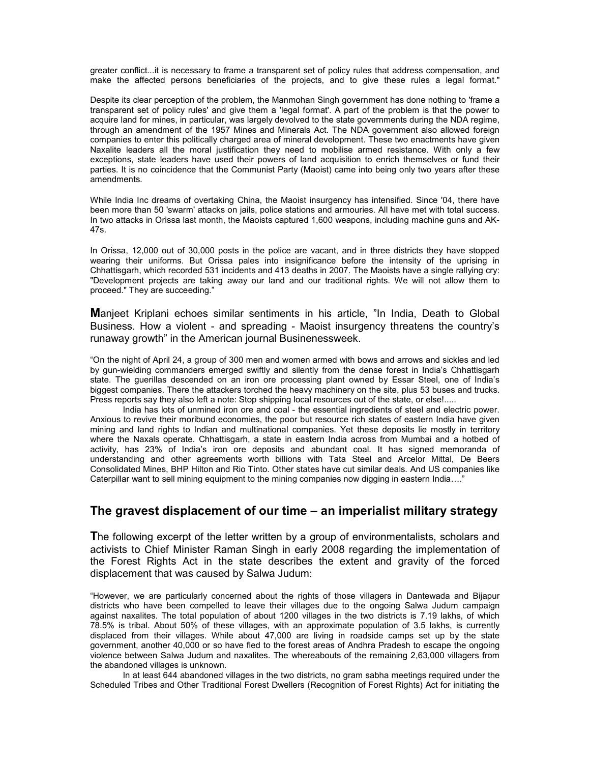greater conflict...it is necessary to frame a transparent set of policy rules that address compensation, and make the affected persons beneficiaries of the projects, and to give these rules a legal format."

Despite its clear perception of the problem, the Manmohan Singh government has done nothing to 'frame a transparent set of policy rules' and give them a 'legal format'. A part of the problem is that the power to acquire land for mines, in particular, was largely devolved to the state governments during the NDA regime, through an amendment of the 1957 Mines and Minerals Act. The NDA government also allowed foreign companies to enter this politically charged area of mineral development. These two enactments have given Naxalite leaders all the moral justification they need to mobilise armed resistance. With only a few exceptions, state leaders have used their powers of land acquisition to enrich themselves or fund their parties. It is no coincidence that the Communist Party (Maoist) came into being only two years after these amendments.

While India Inc dreams of overtaking China, the Maoist insurgency has intensified. Since '04, there have been more than 50 'swarm' attacks on jails, police stations and armouries. All have met with total success. In two attacks in Orissa last month, the Maoists captured 1,600 weapons, including machine guns and AK-47s.

In Orissa, 12,000 out of 30,000 posts in the police are vacant, and in three districts they have stopped wearing their uniforms. But Orissa pales into insignificance before the intensity of the uprising in Chhattisgarh, which recorded 531 incidents and 413 deaths in 2007. The Maoists have a single rallying cry: "Development projects are taking away our land and our traditional rights. We will not allow them to proceed." They are succeeding."

**M**anjeet Kriplani echoes similar sentiments in his article, "In India, Death to Global Business. How a violent - and spreading - Maoist insurgency threatens the country's runaway growth" in the American journal Businenessweek.

"On the night of April 24, a group of 300 men and women armed with bows and arrows and sickles and led by gun-wielding commanders emerged swiftly and silently from the dense forest in India's Chhattisgarh state. The guerillas descended on an iron ore processing plant owned by Essar Steel, one of India's biggest companies. There the attackers torched the heavy machinery on the site, plus 53 buses and trucks. Press reports say they also left a note: Stop shipping local resources out of the state, or else!.....

 India has lots of unmined iron ore and coal - the essential ingredients of steel and electric power. Anxious to revive their moribund economies, the poor but resource rich states of eastern India have given mining and land rights to Indian and multinational companies. Yet these deposits lie mostly in territory where the Naxals operate. Chhattisgarh, a state in eastern India across from Mumbai and a hotbed of activity, has 23% of India's iron ore deposits and abundant coal. It has signed memoranda of understanding and other agreements worth billions with Tata Steel and Arcelor Mittal, De Beers Consolidated Mines, BHP Hilton and Rio Tinto. Other states have cut similar deals. And US companies like Caterpillar want to sell mining equipment to the mining companies now digging in eastern India…."

## **The gravest displacement of our time – an imperialist military strategy**

**T**he following excerpt of the letter written by a group of environmentalists, scholars and activists to Chief Minister Raman Singh in early 2008 regarding the implementation of the Forest Rights Act in the state describes the extent and gravity of the forced displacement that was caused by Salwa Judum:

"However, we are particularly concerned about the rights of those villagers in Dantewada and Bijapur districts who have been compelled to leave their villages due to the ongoing Salwa Judum campaign against naxalites. The total population of about 1200 villages in the two districts is 7.19 lakhs, of which 78.5% is tribal. About 50% of these villages, with an approximate population of 3.5 lakhs, is currently displaced from their villages. While about 47,000 are living in roadside camps set up by the state government, another 40,000 or so have fled to the forest areas of Andhra Pradesh to escape the ongoing violence between Salwa Judum and naxalites. The whereabouts of the remaining 2,63,000 villagers from the abandoned villages is unknown.

In at least 644 abandoned villages in the two districts, no gram sabha meetings required under the Scheduled Tribes and Other Traditional Forest Dwellers (Recognition of Forest Rights) Act for initiating the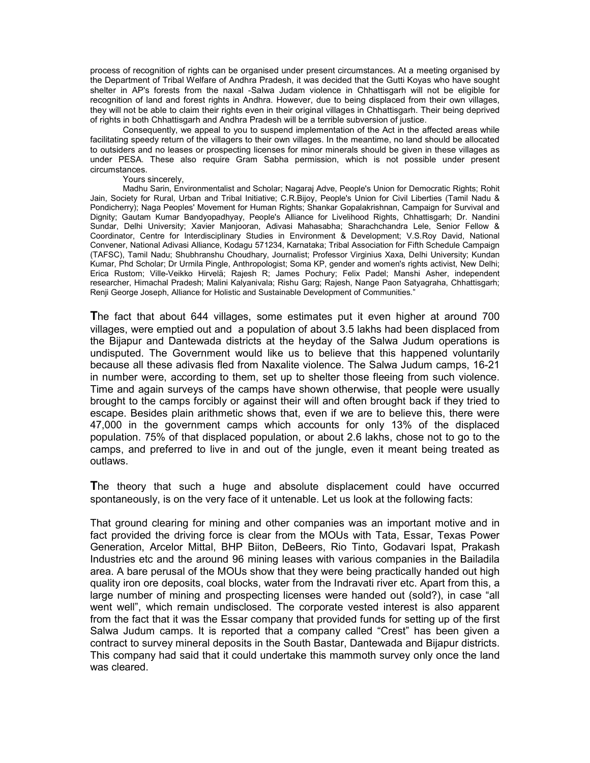process of recognition of rights can be organised under present circumstances. At a meeting organised by the Department of Tribal Welfare of Andhra Pradesh, it was decided that the Gutti Koyas who have sought shelter in AP's forests from the naxal -Salwa Judam violence in Chhattisgarh will not be eligible for recognition of land and forest rights in Andhra. However, due to being displaced from their own villages, they will not be able to claim their rights even in their original villages in Chhattisgarh. Their being deprived of rights in both Chhattisgarh and Andhra Pradesh will be a terrible subversion of justice.

Consequently, we appeal to you to suspend implementation of the Act in the affected areas while facilitating speedy return of the villagers to their own villages. In the meantime, no land should be allocated to outsiders and no leases or prospecting licenses for minor minerals should be given in these villages as under PESA. These also require Gram Sabha permission, which is not possible under present circumstances.

#### Yours sincerely,

Madhu Sarin, Environmentalist and Scholar; Nagaraj Adve, People's Union for Democratic Rights; Rohit Jain, Society for Rural, Urban and Tribal Initiative; C.R.Bijoy, People's Union for Civil Liberties (Tamil Nadu & Pondicherry); Naga Peoples' Movement for Human Rights; Shankar Gopalakrishnan, Campaign for Survival and Dignity; Gautam Kumar Bandyopadhyay, People's Alliance for Livelihood Rights, Chhattisgarh; Dr. Nandini Sundar, Delhi University; Xavier Manjooran, Adivasi Mahasabha; Sharachchandra Lele, Senior Fellow & Coordinator, Centre for Interdisciplinary Studies in Environment & Development; V.S.Roy David, National Convener, National Adivasi Alliance, Kodagu 571234, Karnataka; Tribal Association for Fifth Schedule Campaign (TAFSC), Tamil Nadu; Shubhranshu Choudhary, Journalist; Professor Virginius Xaxa, Delhi University; Kundan Kumar, Phd Scholar; Dr Urmila Pingle, Anthropologist; Soma KP, gender and women's rights activist, New Delhi; Erica Rustom; Ville-Veikko Hirvelä; Rajesh R; James Pochury; Felix Padel; Manshi Asher, independent researcher, Himachal Pradesh; Malini Kalyanivala; Rishu Garg; Rajesh, Nange Paon Satyagraha, Chhattisgarh; Renji George Joseph, Alliance for Holistic and Sustainable Development of Communities."

**T**he fact that about 644 villages, some estimates put it even higher at around 700 villages, were emptied out and a population of about 3.5 lakhs had been displaced from the Bijapur and Dantewada districts at the heyday of the Salwa Judum operations is undisputed. The Government would like us to believe that this happened voluntarily because all these adivasis fled from Naxalite violence. The Salwa Judum camps, 16-21 in number were, according to them, set up to shelter those fleeing from such violence. Time and again surveys of the camps have shown otherwise, that people were usually brought to the camps forcibly or against their will and often brought back if they tried to escape. Besides plain arithmetic shows that, even if we are to believe this, there were 47,000 in the government camps which accounts for only 13% of the displaced population. 75% of that displaced population, or about 2.6 lakhs, chose not to go to the camps, and preferred to live in and out of the jungle, even it meant being treated as outlaws.

**T**he theory that such a huge and absolute displacement could have occurred spontaneously, is on the very face of it untenable. Let us look at the following facts:

That ground clearing for mining and other companies was an important motive and in fact provided the driving force is clear from the MOUs with Tata, Essar, Texas Power Generation, Arcelor Mittal, BHP Biiton, DeBeers, Rio Tinto, Godavari Ispat, Prakash Industries etc and the around 96 mining leases with various companies in the Bailadila area. A bare perusal of the MOUs show that they were being practically handed out high quality iron ore deposits, coal blocks, water from the Indravati river etc. Apart from this, a large number of mining and prospecting licenses were handed out (sold?), in case "all went well", which remain undisclosed. The corporate vested interest is also apparent from the fact that it was the Essar company that provided funds for setting up of the first Salwa Judum camps. It is reported that a company called "Crest" has been given a contract to survey mineral deposits in the South Bastar, Dantewada and Bijapur districts. This company had said that it could undertake this mammoth survey only once the land was cleared.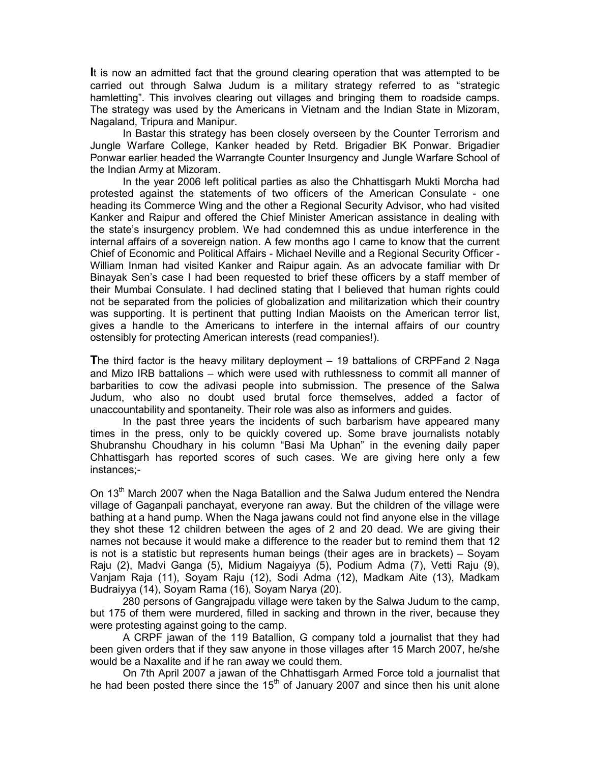**I**t is now an admitted fact that the ground clearing operation that was attempted to be carried out through Salwa Judum is a military strategy referred to as "strategic hamletting". This involves clearing out villages and bringing them to roadside camps. The strategy was used by the Americans in Vietnam and the Indian State in Mizoram, Nagaland, Tripura and Manipur.

In Bastar this strategy has been closely overseen by the Counter Terrorism and Jungle Warfare College, Kanker headed by Retd. Brigadier BK Ponwar. Brigadier Ponwar earlier headed the Warrangte Counter Insurgency and Jungle Warfare School of the Indian Army at Mizoram.

In the year 2006 left political parties as also the Chhattisgarh Mukti Morcha had protested against the statements of two officers of the American Consulate - one heading its Commerce Wing and the other a Regional Security Advisor, who had visited Kanker and Raipur and offered the Chief Minister American assistance in dealing with the state's insurgency problem. We had condemned this as undue interference in the internal affairs of a sovereign nation. A few months ago I came to know that the current Chief of Economic and Political Affairs - Michael Neville and a Regional Security Officer - William Inman had visited Kanker and Raipur again. As an advocate familiar with Dr Binayak Sen's case I had been requested to brief these officers by a staff member of their Mumbai Consulate. I had declined stating that I believed that human rights could not be separated from the policies of globalization and militarization which their country was supporting. It is pertinent that putting Indian Maoists on the American terror list, gives a handle to the Americans to interfere in the internal affairs of our country ostensibly for protecting American interests (read companies!).

**T**he third factor is the heavy military deployment – 19 battalions of CRPFand 2 Naga and Mizo IRB battalions – which were used with ruthlessness to commit all manner of barbarities to cow the adivasi people into submission. The presence of the Salwa Judum, who also no doubt used brutal force themselves, added a factor of unaccountability and spontaneity. Their role was also as informers and guides.

In the past three years the incidents of such barbarism have appeared many times in the press, only to be quickly covered up. Some brave journalists notably Shubranshu Choudhary in his column "Basi Ma Uphan" in the evening daily paper Chhattisgarh has reported scores of such cases. We are giving here only a few instances;-

On 13<sup>th</sup> March 2007 when the Naga Batallion and the Salwa Judum entered the Nendra village of Gaganpali panchayat, everyone ran away. But the children of the village were bathing at a hand pump. When the Naga jawans could not find anyone else in the village they shot these 12 children between the ages of 2 and 20 dead. We are giving their names not because it would make a difference to the reader but to remind them that 12 is not is a statistic but represents human beings (their ages are in brackets) – Soyam Raju (2), Madvi Ganga (5), Midium Nagaiyya (5), Podium Adma (7), Vetti Raju (9), Vanjam Raja (11), Soyam Raju (12), Sodi Adma (12), Madkam Aite (13), Madkam Budraiyya (14), Soyam Rama (16), Soyam Narya (20).

 280 persons of Gangrajpadu village were taken by the Salwa Judum to the camp, but 175 of them were murdered, filled in sacking and thrown in the river, because they were protesting against going to the camp.

 A CRPF jawan of the 119 Batallion, G company told a journalist that they had been given orders that if they saw anyone in those villages after 15 March 2007, he/she would be a Naxalite and if he ran away we could them.

 On 7th April 2007 a jawan of the Chhattisgarh Armed Force told a journalist that he had been posted there since the 15<sup>th</sup> of January 2007 and since then his unit alone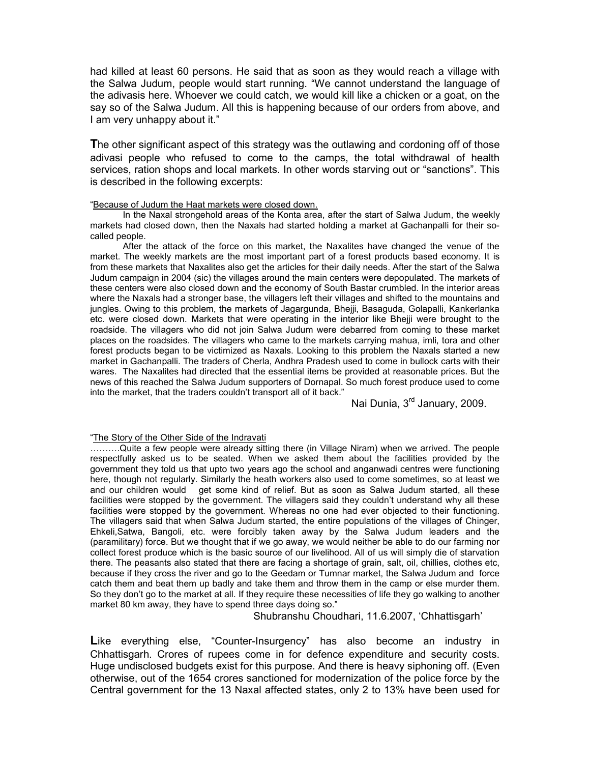had killed at least 60 persons. He said that as soon as they would reach a village with the Salwa Judum, people would start running. "We cannot understand the language of the adivasis here. Whoever we could catch, we would kill like a chicken or a goat, on the say so of the Salwa Judum. All this is happening because of our orders from above, and I am very unhappy about it."

**T**he other significant aspect of this strategy was the outlawing and cordoning off of those adivasi people who refused to come to the camps, the total withdrawal of health services, ration shops and local markets. In other words starving out or "sanctions". This is described in the following excerpts:

## "Because of Judum the Haat markets were closed down.

In the Naxal strongehold areas of the Konta area, after the start of Salwa Judum, the weekly markets had closed down, then the Naxals had started holding a market at Gachanpalli for their socalled people.

 After the attack of the force on this market, the Naxalites have changed the venue of the market. The weekly markets are the most important part of a forest products based economy. It is from these markets that Naxalites also get the articles for their daily needs. After the start of the Salwa Judum campaign in 2004 (sic) the villages around the main centers were depopulated. The markets of these centers were also closed down and the economy of South Bastar crumbled. In the interior areas where the Naxals had a stronger base, the villagers left their villages and shifted to the mountains and jungles. Owing to this problem, the markets of Jagargunda, Bhejji, Basaguda, Golapalli, Kankerlanka etc. were closed down. Markets that were operating in the interior like Bhejji were brought to the roadside. The villagers who did not join Salwa Judum were debarred from coming to these market places on the roadsides. The villagers who came to the markets carrying mahua, imli, tora and other forest products began to be victimized as Naxals. Looking to this problem the Naxals started a new market in Gachanpalli. The traders of Cherla, Andhra Pradesh used to come in bullock carts with their wares. The Naxalites had directed that the essential items be provided at reasonable prices. But the news of this reached the Salwa Judum supporters of Dornapal. So much forest produce used to come into the market, that the traders couldn't transport all of it back."

Nai Dunia, 3<sup>rd</sup> January, 2009.

## "The Story of the Other Side of the Indravati

……….Quite a few people were already sitting there (in Village Niram) when we arrived. The people respectfully asked us to be seated. When we asked them about the facilities provided by the government they told us that upto two years ago the school and anganwadi centres were functioning here, though not regularly. Similarly the heath workers also used to come sometimes, so at least we and our children would get some kind of relief. But as soon as Salwa Judum started, all these facilities were stopped by the government. The villagers said they couldn't understand why all these facilities were stopped by the government. Whereas no one had ever objected to their functioning. The villagers said that when Salwa Judum started, the entire populations of the villages of Chinger, Ehkeli,Satwa, Bangoli, etc. were forcibly taken away by the Salwa Judum leaders and the (paramilitary) force. But we thought that if we go away, we would neither be able to do our farming nor collect forest produce which is the basic source of our livelihood. All of us will simply die of starvation there. The peasants also stated that there are facing a shortage of grain, salt, oil, chillies, clothes etc, because if they cross the river and go to the Geedam or Tumnar market, the Salwa Judum and force catch them and beat them up badly and take them and throw them in the camp or else murder them. So they don't go to the market at all. If they require these necessities of life they go walking to another market 80 km away, they have to spend three days doing so."

Shubranshu Choudhari, 11.6.2007, 'Chhattisgarh'

Like everything else, "Counter-Insurgency" has also become an industry in Chhattisgarh. Crores of rupees come in for defence expenditure and security costs. Huge undisclosed budgets exist for this purpose. And there is heavy siphoning off. (Even otherwise, out of the 1654 crores sanctioned for modernization of the police force by the Central government for the 13 Naxal affected states, only 2 to 13% have been used for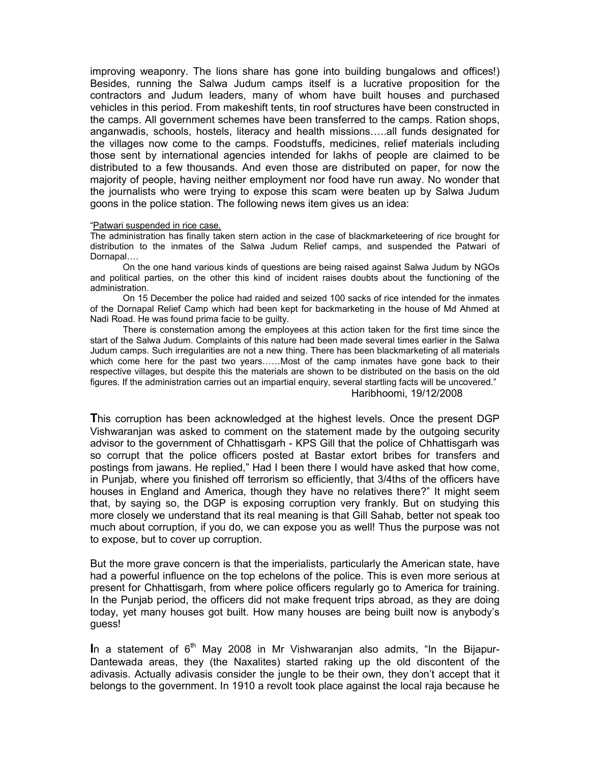improving weaponry. The lions share has gone into building bungalows and offices!) Besides, running the Salwa Judum camps itself is a lucrative proposition for the contractors and Judum leaders, many of whom have built houses and purchased vehicles in this period. From makeshift tents, tin roof structures have been constructed in the camps. All government schemes have been transferred to the camps. Ration shops, anganwadis, schools, hostels, literacy and health missions…..all funds designated for the villages now come to the camps. Foodstuffs, medicines, relief materials including those sent by international agencies intended for lakhs of people are claimed to be distributed to a few thousands. And even those are distributed on paper, for now the majority of people, having neither employment nor food have run away. No wonder that the journalists who were trying to expose this scam were beaten up by Salwa Judum goons in the police station. The following news item gives us an idea:

#### "Patwari suspended in rice case.

The administration has finally taken stern action in the case of blackmarketeering of rice brought for distribution to the inmates of the Salwa Judum Relief camps, and suspended the Patwari of Dornapal….

 On the one hand various kinds of questions are being raised against Salwa Judum by NGOs and political parties, on the other this kind of incident raises doubts about the functioning of the administration.

 On 15 December the police had raided and seized 100 sacks of rice intended for the inmates of the Dornapal Relief Camp which had been kept for backmarketing in the house of Md Ahmed at Nadi Road. He was found prima facie to be guilty.

 There is consternation among the employees at this action taken for the first time since the start of the Salwa Judum. Complaints of this nature had been made several times earlier in the Salwa Judum camps. Such irregularities are not a new thing. There has been blackmarketing of all materials which come here for the past two years......Most of the camp inmates have gone back to their respective villages, but despite this the materials are shown to be distributed on the basis on the old figures. If the administration carries out an impartial enquiry, several startling facts will be uncovered." Haribhoomi, 19/12/2008

**T**his corruption has been acknowledged at the highest levels. Once the present DGP Vishwaranjan was asked to comment on the statement made by the outgoing security advisor to the government of Chhattisgarh - KPS Gill that the police of Chhattisgarh was so corrupt that the police officers posted at Bastar extort bribes for transfers and postings from jawans. He replied," Had I been there I would have asked that how come, in Punjab, where you finished off terrorism so efficiently, that 3/4ths of the officers have houses in England and America, though they have no relatives there?" It might seem that, by saying so, the DGP is exposing corruption very frankly. But on studying this more closely we understand that its real meaning is that Gill Sahab, better not speak too much about corruption, if you do, we can expose you as well! Thus the purpose was not to expose, but to cover up corruption.

But the more grave concern is that the imperialists, particularly the American state, have had a powerful influence on the top echelons of the police. This is even more serious at present for Chhattisgarh, from where police officers regularly go to America for training. In the Punjab period, the officers did not make frequent trips abroad, as they are doing today, yet many houses got built. How many houses are being built now is anybody's guess!

In a statement of 6<sup>th</sup> May 2008 in Mr Vishwaranjan also admits, "In the Bijapur-Dantewada areas, they (the Naxalites) started raking up the old discontent of the adivasis. Actually adivasis consider the jungle to be their own, they don't accept that it belongs to the government. In 1910 a revolt took place against the local raja because he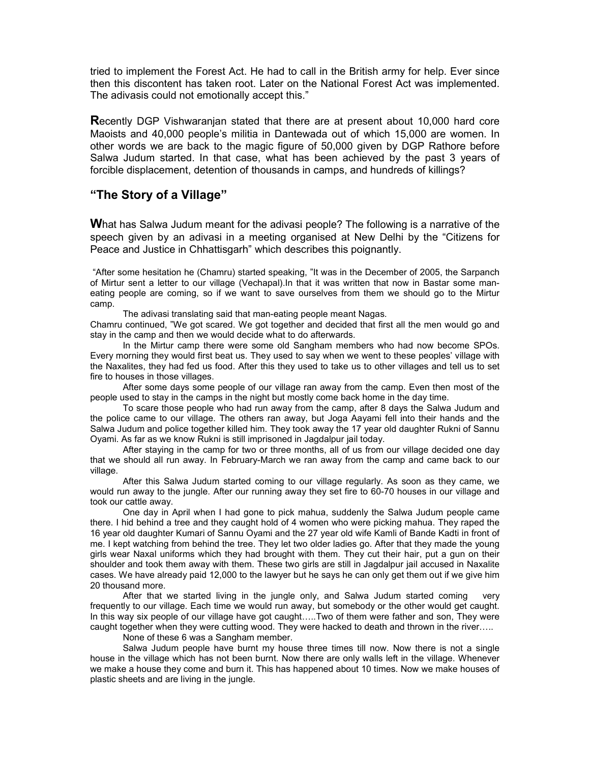tried to implement the Forest Act. He had to call in the British army for help. Ever since then this discontent has taken root. Later on the National Forest Act was implemented. The adivasis could not emotionally accept this."

**R**ecently DGP Vishwaranjan stated that there are at present about 10,000 hard core Maoists and 40,000 people's militia in Dantewada out of which 15,000 are women. In other words we are back to the magic figure of 50,000 given by DGP Rathore before Salwa Judum started. In that case, what has been achieved by the past 3 years of forcible displacement, detention of thousands in camps, and hundreds of killings?

# **"The Story of a Village"**

**W**hat has Salwa Judum meant for the adivasi people? The following is a narrative of the speech given by an adivasi in a meeting organised at New Delhi by the "Citizens for Peace and Justice in Chhattisgarh" which describes this poignantly.

 "After some hesitation he (Chamru) started speaking, "It was in the December of 2005, the Sarpanch of Mirtur sent a letter to our village (Vechapal).In that it was written that now in Bastar some maneating people are coming, so if we want to save ourselves from them we should go to the Mirtur camp.

The adivasi translating said that man-eating people meant Nagas.

Chamru continued, "We got scared. We got together and decided that first all the men would go and stay in the camp and then we would decide what to do afterwards.

 In the Mirtur camp there were some old Sangham members who had now become SPOs. Every morning they would first beat us. They used to say when we went to these peoples' village with the Naxalites, they had fed us food. After this they used to take us to other villages and tell us to set fire to houses in those villages.

After some days some people of our village ran away from the camp. Even then most of the people used to stay in the camps in the night but mostly come back home in the day time.

 To scare those people who had run away from the camp, after 8 days the Salwa Judum and the police came to our village. The others ran away, but Joga Aayami fell into their hands and the Salwa Judum and police together killed him. They took away the 17 year old daughter Rukni of Sannu Oyami. As far as we know Rukni is still imprisoned in Jagdalpur jail today.

 After staying in the camp for two or three months, all of us from our village decided one day that we should all run away. In February-March we ran away from the camp and came back to our village.

 After this Salwa Judum started coming to our village regularly. As soon as they came, we would run away to the jungle. After our running away they set fire to 60-70 houses in our village and took our cattle away.

 One day in April when I had gone to pick mahua, suddenly the Salwa Judum people came there. I hid behind a tree and they caught hold of 4 women who were picking mahua. They raped the 16 year old daughter Kumari of Sannu Oyami and the 27 year old wife Kamli of Bande Kadti in front of me. I kept watching from behind the tree. They let two older ladies go. After that they made the young girls wear Naxal uniforms which they had brought with them. They cut their hair, put a gun on their shoulder and took them away with them. These two girls are still in Jagdalpur jail accused in Naxalite cases. We have already paid 12,000 to the lawyer but he says he can only get them out if we give him 20 thousand more.

 After that we started living in the jungle only, and Salwa Judum started coming very frequently to our village. Each time we would run away, but somebody or the other would get caught. In this way six people of our village have got caught…..Two of them were father and son, They were caught together when they were cutting wood. They were hacked to death and thrown in the river…..

None of these 6 was a Sangham member.

Salwa Judum people have burnt my house three times till now. Now there is not a single house in the village which has not been burnt. Now there are only walls left in the village. Whenever we make a house they come and burn it. This has happened about 10 times. Now we make houses of plastic sheets and are living in the jungle.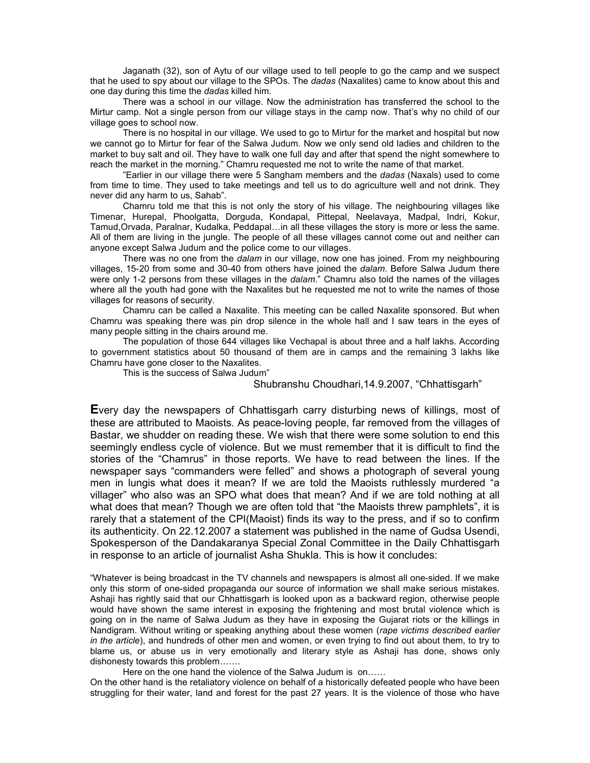Jaganath (32), son of Aytu of our village used to tell people to go the camp and we suspect that he used to spy about our village to the SPOs. The *dadas* (Naxalites) came to know about this and one day during this time the *dadas* killed him.

 There was a school in our village. Now the administration has transferred the school to the Mirtur camp. Not a single person from our village stays in the camp now. That's why no child of our village goes to school now.

 There is no hospital in our village. We used to go to Mirtur for the market and hospital but now we cannot go to Mirtur for fear of the Salwa Judum. Now we only send old ladies and children to the market to buy salt and oil. They have to walk one full day and after that spend the night somewhere to reach the market in the morning." Chamru requested me not to write the name of that market.

"Earlier in our village there were 5 Sangham members and the *dadas* (Naxals) used to come from time to time. They used to take meetings and tell us to do agriculture well and not drink. They never did any harm to us, Sahab".

Chamru told me that this is not only the story of his village. The neighbouring villages like Timenar, Hurepal, Phoolgatta, Dorguda, Kondapal, Pittepal, Neelavaya, Madpal, Indri, Kokur, Tamud,Orvada, Paralnar, Kudalka, Peddapal…in all these villages the story is more or less the same. All of them are living in the jungle. The people of all these villages cannot come out and neither can anyone except Salwa Judum and the police come to our villages.

There was no one from the *dalam* in our village, now one has joined. From my neighbouring villages, 15-20 from some and 30-40 from others have joined the *dalam*. Before Salwa Judum there were only 1-2 persons from these villages in the *dalam*." Chamru also told the names of the villages where all the youth had gone with the Naxalites but he requested me not to write the names of those villages for reasons of security.

Chamru can be called a Naxalite. This meeting can be called Naxalite sponsored. But when Chamru was speaking there was pin drop silence in the whole hall and I saw tears in the eyes of many people sitting in the chairs around me.

The population of those 644 villages like Vechapal is about three and a half lakhs. According to government statistics about 50 thousand of them are in camps and the remaining 3 lakhs like Chamru have gone closer to the Naxalites.

This is the success of Salwa Judum"

## Shubranshu Choudhari,14.9.2007, "Chhattisgarh"

**E**very day the newspapers of Chhattisgarh carry disturbing news of killings, most of these are attributed to Maoists. As peace-loving people, far removed from the villages of Bastar, we shudder on reading these. We wish that there were some solution to end this seemingly endless cycle of violence. But we must remember that it is difficult to find the stories of the "Chamrus" in those reports. We have to read between the lines. If the newspaper says "commanders were felled" and shows a photograph of several young men in lungis what does it mean? If we are told the Maoists ruthlessly murdered "a villager" who also was an SPO what does that mean? And if we are told nothing at all what does that mean? Though we are often told that "the Maoists threw pamphlets", it is rarely that a statement of the CPI(Maoist) finds its way to the press, and if so to confirm its authenticity. On 22.12.2007 a statement was published in the name of Gudsa Usendi, Spokesperson of the Dandakaranya Special Zonal Committee in the Daily Chhattisgarh in response to an article of journalist Asha Shukla. This is how it concludes:

"Whatever is being broadcast in the TV channels and newspapers is almost all one-sided. If we make only this storm of one-sided propaganda our source of information we shall make serious mistakes. Ashaji has rightly said that our Chhattisgarh is looked upon as a backward region, otherwise people would have shown the same interest in exposing the frightening and most brutal violence which is going on in the name of Salwa Judum as they have in exposing the Gujarat riots or the killings in Nandigram. Without writing or speaking anything about these women (*rape victims described earlier in the article*), and hundreds of other men and women, or even trying to find out about them, to try to blame us, or abuse us in very emotionally and literary style as Ashaji has done, shows only dishonesty towards this problem…….

Here on the one hand the violence of the Salwa Judum is on......

On the other hand is the retaliatory violence on behalf of a historically defeated people who have been struggling for their water, land and forest for the past 27 years. It is the violence of those who have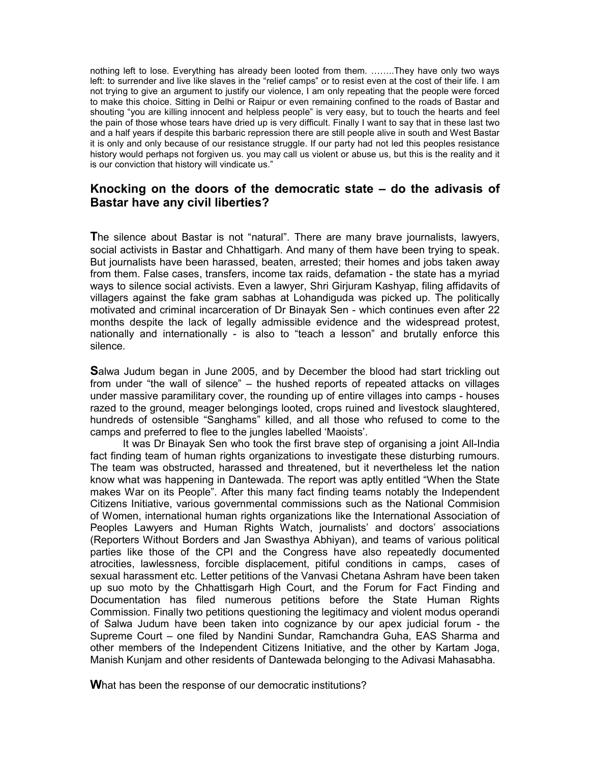nothing left to lose. Everything has already been looted from them. ……..They have only two ways left: to surrender and live like slaves in the "relief camps" or to resist even at the cost of their life. I am not trying to give an argument to justify our violence, I am only repeating that the people were forced to make this choice. Sitting in Delhi or Raipur or even remaining confined to the roads of Bastar and shouting "you are killing innocent and helpless people" is very easy, but to touch the hearts and feel the pain of those whose tears have dried up is very difficult. Finally I want to say that in these last two and a half years if despite this barbaric repression there are still people alive in south and West Bastar it is only and only because of our resistance struggle. If our party had not led this peoples resistance history would perhaps not forgiven us. you may call us violent or abuse us, but this is the reality and it is our conviction that history will vindicate us."

# **Knocking on the doors of the democratic state – do the adivasis of Bastar have any civil liberties?**

**T**he silence about Bastar is not "natural". There are many brave journalists, lawyers, social activists in Bastar and Chhattigarh. And many of them have been trying to speak. But journalists have been harassed, beaten, arrested; their homes and jobs taken away from them. False cases, transfers, income tax raids, defamation - the state has a myriad ways to silence social activists. Even a lawyer, Shri Girjuram Kashyap, filing affidavits of villagers against the fake gram sabhas at Lohandiguda was picked up. The politically motivated and criminal incarceration of Dr Binayak Sen - which continues even after 22 months despite the lack of legally admissible evidence and the widespread protest, nationally and internationally - is also to "teach a lesson" and brutally enforce this silence.

**S**alwa Judum began in June 2005, and by December the blood had start trickling out from under "the wall of silence" – the hushed reports of repeated attacks on villages under massive paramilitary cover, the rounding up of entire villages into camps - houses razed to the ground, meager belongings looted, crops ruined and livestock slaughtered, hundreds of ostensible "Sanghams" killed, and all those who refused to come to the camps and preferred to flee to the jungles labelled 'Maoists'.

It was Dr Binayak Sen who took the first brave step of organising a joint All-India fact finding team of human rights organizations to investigate these disturbing rumours. The team was obstructed, harassed and threatened, but it nevertheless let the nation know what was happening in Dantewada. The report was aptly entitled "When the State makes War on its People". After this many fact finding teams notably the Independent Citizens Initiative, various governmental commissions such as the National Commision of Women, international human rights organizations like the International Association of Peoples Lawyers and Human Rights Watch, journalists' and doctors' associations (Reporters Without Borders and Jan Swasthya Abhiyan), and teams of various political parties like those of the CPI and the Congress have also repeatedly documented atrocities, lawlessness, forcible displacement, pitiful conditions in camps, cases of sexual harassment etc. Letter petitions of the Vanvasi Chetana Ashram have been taken up suo moto by the Chhattisgarh High Court, and the Forum for Fact Finding and Documentation has filed numerous petitions before the State Human Rights Commission. Finally two petitions questioning the legitimacy and violent modus operandi of Salwa Judum have been taken into cognizance by our apex judicial forum - the Supreme Court – one filed by Nandini Sundar, Ramchandra Guha, EAS Sharma and other members of the Independent Citizens Initiative, and the other by Kartam Joga, Manish Kunjam and other residents of Dantewada belonging to the Adivasi Mahasabha.

**W**hat has been the response of our democratic institutions?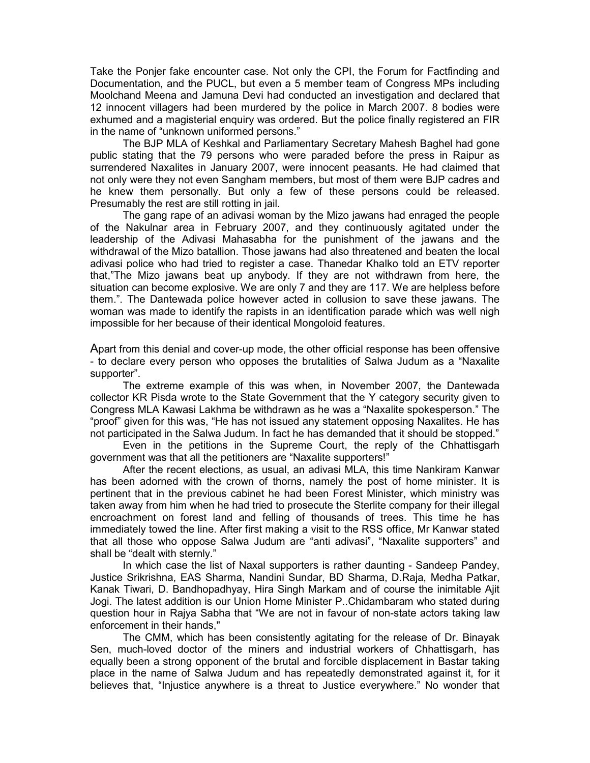Take the Ponjer fake encounter case. Not only the CPI, the Forum for Factfinding and Documentation, and the PUCL, but even a 5 member team of Congress MPs including Moolchand Meena and Jamuna Devi had conducted an investigation and declared that 12 innocent villagers had been murdered by the police in March 2007. 8 bodies were exhumed and a magisterial enquiry was ordered. But the police finally registered an FIR in the name of "unknown uniformed persons."

The BJP MLA of Keshkal and Parliamentary Secretary Mahesh Baghel had gone public stating that the 79 persons who were paraded before the press in Raipur as surrendered Naxalites in January 2007, were innocent peasants. He had claimed that not only were they not even Sangham members, but most of them were BJP cadres and he knew them personally. But only a few of these persons could be released. Presumably the rest are still rotting in jail.

The gang rape of an adivasi woman by the Mizo jawans had enraged the people of the Nakulnar area in February 2007, and they continuously agitated under the leadership of the Adivasi Mahasabha for the punishment of the jawans and the withdrawal of the Mizo batallion. Those jawans had also threatened and beaten the local adivasi police who had tried to register a case. Thanedar Khalko told an ETV reporter that,"The Mizo jawans beat up anybody. If they are not withdrawn from here, the situation can become explosive. We are only 7 and they are 117. We are helpless before them.". The Dantewada police however acted in collusion to save these jawans. The woman was made to identify the rapists in an identification parade which was well nigh impossible for her because of their identical Mongoloid features.

Apart from this denial and cover-up mode, the other official response has been offensive - to declare every person who opposes the brutalities of Salwa Judum as a "Naxalite supporter".

The extreme example of this was when, in November 2007, the Dantewada collector KR Pisda wrote to the State Government that the Y category security given to Congress MLA Kawasi Lakhma be withdrawn as he was a "Naxalite spokesperson." The "proof" given for this was, "He has not issued any statement opposing Naxalites. He has not participated in the Salwa Judum. In fact he has demanded that it should be stopped."

Even in the petitions in the Supreme Court, the reply of the Chhattisgarh government was that all the petitioners are "Naxalite supporters!"

After the recent elections, as usual, an adivasi MLA, this time Nankiram Kanwar has been adorned with the crown of thorns, namely the post of home minister. It is pertinent that in the previous cabinet he had been Forest Minister, which ministry was taken away from him when he had tried to prosecute the Sterlite company for their illegal encroachment on forest land and felling of thousands of trees. This time he has immediately towed the line. After first making a visit to the RSS office, Mr Kanwar stated that all those who oppose Salwa Judum are "anti adivasi", "Naxalite supporters" and shall be "dealt with sternly."

In which case the list of Naxal supporters is rather daunting - Sandeep Pandey, Justice Srikrishna, EAS Sharma, Nandini Sundar, BD Sharma, D.Raja, Medha Patkar, Kanak Tiwari, D. Bandhopadhyay, Hira Singh Markam and of course the inimitable Ajit Jogi. The latest addition is our Union Home Minister P..Chidambaram who stated during question hour in Rajya Sabha that "We are not in favour of non-state actors taking law enforcement in their hands,"

The CMM, which has been consistently agitating for the release of Dr. Binayak Sen, much-loved doctor of the miners and industrial workers of Chhattisgarh, has equally been a strong opponent of the brutal and forcible displacement in Bastar taking place in the name of Salwa Judum and has repeatedly demonstrated against it, for it believes that, "Injustice anywhere is a threat to Justice everywhere." No wonder that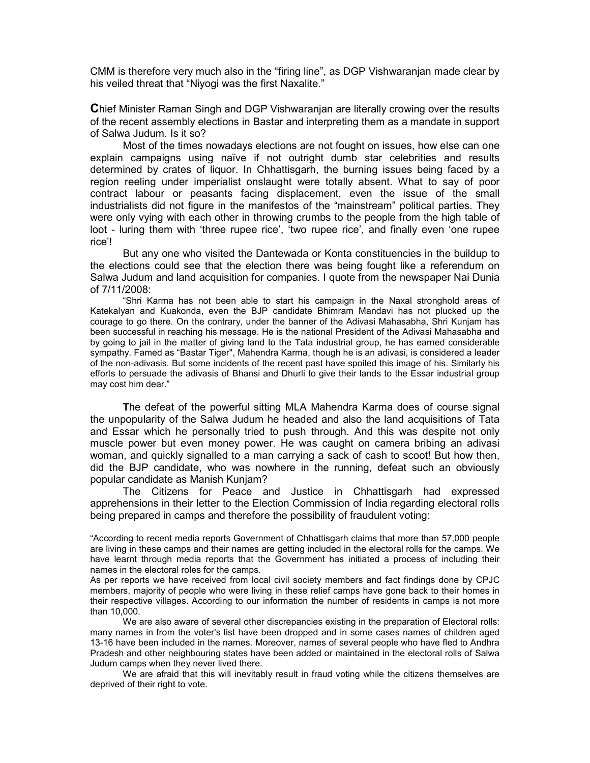CMM is therefore very much also in the "firing line", as DGP Vishwaranjan made clear by his veiled threat that "Niyogi was the first Naxalite."

**C**hief Minister Raman Singh and DGP Vishwaranjan are literally crowing over the results of the recent assembly elections in Bastar and interpreting them as a mandate in support of Salwa Judum. Is it so?

 Most of the times nowadays elections are not fought on issues, how else can one explain campaigns using naïve if not outright dumb star celebrities and results determined by crates of liquor. In Chhattisgarh, the burning issues being faced by a region reeling under imperialist onslaught were totally absent. What to say of poor contract labour or peasants facing displacement, even the issue of the small industrialists did not figure in the manifestos of the "mainstream" political parties. They were only vying with each other in throwing crumbs to the people from the high table of loot - luring them with 'three rupee rice', 'two rupee rice', and finally even 'one rupee rice'!

But any one who visited the Dantewada or Konta constituencies in the buildup to the elections could see that the election there was being fought like a referendum on Salwa Judum and land acquisition for companies. I quote from the newspaper Nai Dunia of 7/11/2008:

"Shri Karma has not been able to start his campaign in the Naxal stronghold areas of Katekalyan and Kuakonda, even the BJP candidate Bhimram Mandavi has not plucked up the courage to go there. On the contrary, under the banner of the Adivasi Mahasabha, Shri Kunjam has been successful in reaching his message. He is the national President of the Adivasi Mahasabha and by going to jail in the matter of giving land to the Tata industrial group, he has earned considerable sympathy. Famed as "Bastar Tiger", Mahendra Karma, though he is an adivasi, is considered a leader of the non-adivasis. But some incidents of the recent past have spoiled this image of his. Similarly his efforts to persuade the adivasis of Bhansi and Dhurli to give their lands to the Essar industrial group may cost him dear."

**T**he defeat of the powerful sitting MLA Mahendra Karma does of course signal the unpopularity of the Salwa Judum he headed and also the land acquisitions of Tata and Essar which he personally tried to push through. And this was despite not only muscle power but even money power. He was caught on camera bribing an adivasi woman, and quickly signalled to a man carrying a sack of cash to scoot! But how then, did the BJP candidate, who was nowhere in the running, defeat such an obviously popular candidate as Manish Kunjam?

The Citizens for Peace and Justice in Chhattisgarh had expressed apprehensions in their letter to the Election Commission of India regarding electoral rolls being prepared in camps and therefore the possibility of fraudulent voting:

"According to recent media reports Government of Chhattisgarh claims that more than 57,000 people are living in these camps and their names are getting included in the electoral rolls for the camps. We have learnt through media reports that the Government has initiated a process of including their names in the electoral roles for the camps.

As per reports we have received from local civil society members and fact findings done by CPJC members, majority of people who were living in these relief camps have gone back to their homes in their respective villages. According to our information the number of residents in camps is not more than 10,000.

We are also aware of several other discrepancies existing in the preparation of Electoral rolls: many names in from the voter's list have been dropped and in some cases names of children aged 13-16 have been included in the names. Moreover, names of several people who have fled to Andhra Pradesh and other neighbouring states have been added or maintained in the electoral rolls of Salwa Judum camps when they never lived there.

We are afraid that this will inevitably result in fraud voting while the citizens themselves are deprived of their right to vote.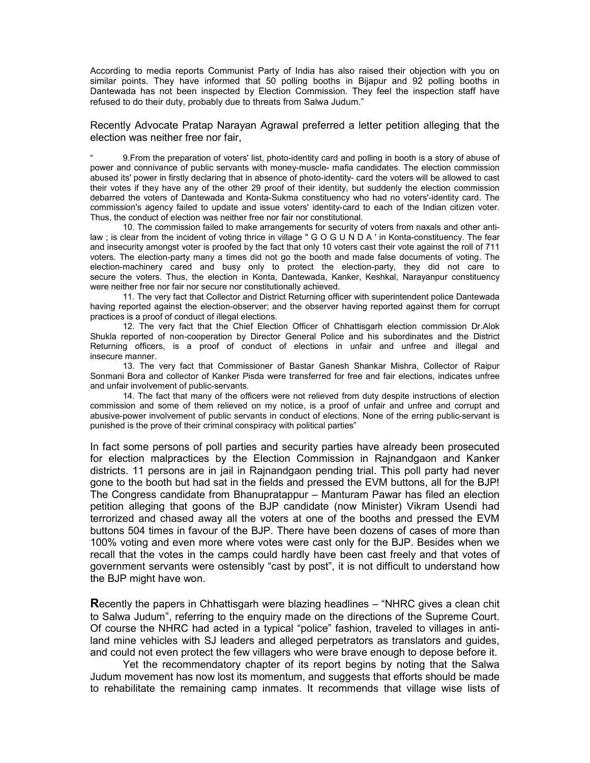According to media reports Communist Party of India has also raised their objection with you on similar points. They have informed that 50 polling booths in Bijapur and 92 polling booths in Dantewada has not been inspected by Election Commission. They feel the inspection staff have refused to do their duty, probably due to threats from Salwa Judum."

Recently Advocate Pratap Narayan Agrawal preferred a letter petition alleging that the election was neither free nor fair,

" 9.From the preparation of voters' list, photo-identity card and polling in booth is a story of abuse of power and connivance of public servants with money-muscle- mafia candidates. The election commission abused its' power in firstly declaring that in absence of photo-identity- card the voters will be allowed to cast their votes if they have any of the other 29 proof of their identity, but suddenly the election commission debarred the voters of Dantewada and Konta-Sukma constituency who had no voters'-identity card. The commission's agency failed to update and issue voters' identity-card to each of the Indian citizen voter. Thus, the conduct of election was neither free nor fair nor constitutional.

10. The commission failed to make arrangements for security of voters from naxals and other antilaw ; is clear from the incident of voting thrice in village " G O G U N D A ' in Konta-constituency. The fear and insecurity amongst voter is proofed by the fact that only 10 voters cast their vote against the roll of 711 voters. The election-party many a times did not go the booth and made false documents of voting. The election-machinery cared and busy only to protect the election-party, they did not care to secure the voters. Thus, the election in Konta, Dantewada, Kanker, Keshkal, Narayanpur constituency were neither free nor fair nor secure nor constitutionally achieved.

11. The very fact that Collector and District Returning officer with superintendent police Dantewada having reported against the election-observer; and the observer having reported against them for corrupt practices is a proof of conduct of illegal elections.

12. The very fact that the Chief Election Officer of Chhattisgarh election commission Dr.Alok Shukla reported of non-cooperation by Director General Police and his subordinates and the District Returning officers, is a proof of conduct of elections in unfair and unfree and illegal and insecure manner.

13. The very fact that Commissioner of Bastar Ganesh Shankar Mishra, Collector of Raipur Sonmani Bora and collector of Kanker Pisda were transferred for free and fair elections, indicates unfree and unfair involvement of public-servants.

14. The fact that many of the officers were not relieved from duty despite instructions of election commission and some of them relieved on my notice, is a proof of unfair and unfree and corrupt and abusive-power involvement of public servants in conduct of elections. None of the erring public-servant is punished is the prove of their criminal conspiracy with political parties"

In fact some persons of poll parties and security parties have already been prosecuted for election malpractices by the Election Commission in Rajnandgaon and Kanker districts. 11 persons are in jail in Rajnandgaon pending trial. This poll party had never gone to the booth but had sat in the fields and pressed the EVM buttons, all for the BJP! The Congress candidate from Bhanupratappur – Manturam Pawar has filed an election petition alleging that goons of the BJP candidate (now Minister) Vikram Usendi had terrorized and chased away all the voters at one of the booths and pressed the EVM buttons 504 times in favour of the BJP. There have been dozens of cases of more than 100% voting and even more where votes were cast only for the BJP. Besides when we recall that the votes in the camps could hardly have been cast freely and that votes of government servants were ostensibly "cast by post", it is not difficult to understand how the BJP might have won.

**R**ecently the papers in Chhattisgarh were blazing headlines – "NHRC gives a clean chit to Salwa Judum", referring to the enquiry made on the directions of the Supreme Court. Of course the NHRC had acted in a typical "police" fashion, traveled to villages in antiland mine vehicles with SJ leaders and alleged perpetrators as translators and guides, and could not even protect the few villagers who were brave enough to depose before it.

Yet the recommendatory chapter of its report begins by noting that the Salwa Judum movement has now lost its momentum, and suggests that efforts should be made to rehabilitate the remaining camp inmates. It recommends that village wise lists of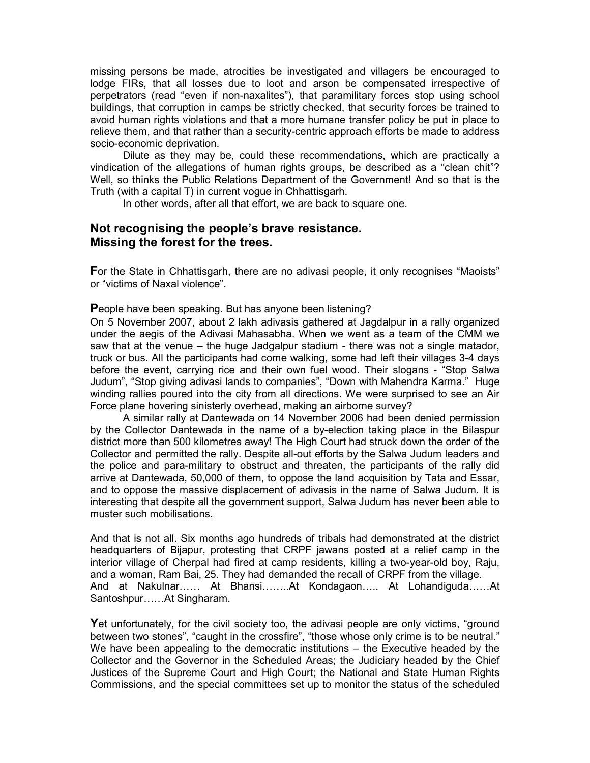missing persons be made, atrocities be investigated and villagers be encouraged to lodge FIRs, that all losses due to loot and arson be compensated irrespective of perpetrators (read "even if non-naxalites"), that paramilitary forces stop using school buildings, that corruption in camps be strictly checked, that security forces be trained to avoid human rights violations and that a more humane transfer policy be put in place to relieve them, and that rather than a security-centric approach efforts be made to address socio-economic deprivation.

Dilute as they may be, could these recommendations, which are practically a vindication of the allegations of human rights groups, be described as a "clean chit"? Well, so thinks the Public Relations Department of the Government! And so that is the Truth (with a capital T) in current vogue in Chhattisgarh.

In other words, after all that effort, we are back to square one.

# **Not recognising the people's brave resistance. Missing the forest for the trees.**

**F**or the State in Chhattisgarh, there are no adivasi people, it only recognises "Maoists" or "victims of Naxal violence".

**P**eople have been speaking. But has anyone been listening?

On 5 November 2007, about 2 lakh adivasis gathered at Jagdalpur in a rally organized under the aegis of the Adivasi Mahasabha. When we went as a team of the CMM we saw that at the venue – the huge Jadgalpur stadium - there was not a single matador, truck or bus. All the participants had come walking, some had left their villages 3-4 days before the event, carrying rice and their own fuel wood. Their slogans - "Stop Salwa Judum", "Stop giving adivasi lands to companies", "Down with Mahendra Karma." Huge winding rallies poured into the city from all directions. We were surprised to see an Air Force plane hovering sinisterly overhead, making an airborne survey?

A similar rally at Dantewada on 14 November 2006 had been denied permission by the Collector Dantewada in the name of a by-election taking place in the Bilaspur district more than 500 kilometres away! The High Court had struck down the order of the Collector and permitted the rally. Despite all-out efforts by the Salwa Judum leaders and the police and para-military to obstruct and threaten, the participants of the rally did arrive at Dantewada, 50,000 of them, to oppose the land acquisition by Tata and Essar, and to oppose the massive displacement of adivasis in the name of Salwa Judum. It is interesting that despite all the government support, Salwa Judum has never been able to muster such mobilisations.

And that is not all. Six months ago hundreds of tribals had demonstrated at the district headquarters of Bijapur, protesting that CRPF jawans posted at a relief camp in the interior village of Cherpal had fired at camp residents, killing a two-year-old boy, Raju, and a woman, Ram Bai, 25. They had demanded the recall of CRPF from the village. And at Nakulnar…… At Bhansi……..At Kondagaon….. At Lohandiguda……At Santoshpur……At Singharam.

**Y**et unfortunately, for the civil society too, the adivasi people are only victims, "ground between two stones", "caught in the crossfire", "those whose only crime is to be neutral." We have been appealing to the democratic institutions – the Executive headed by the Collector and the Governor in the Scheduled Areas; the Judiciary headed by the Chief Justices of the Supreme Court and High Court; the National and State Human Rights Commissions, and the special committees set up to monitor the status of the scheduled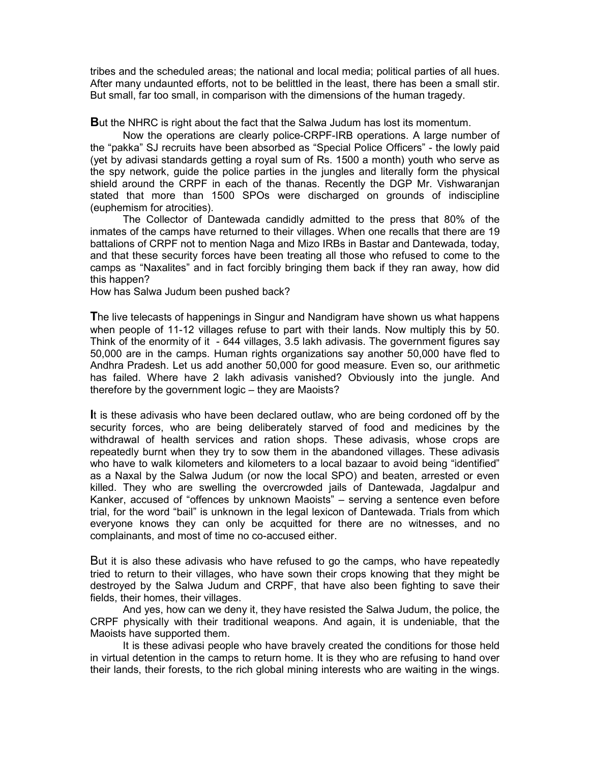tribes and the scheduled areas; the national and local media; political parties of all hues. After many undaunted efforts, not to be belittled in the least, there has been a small stir. But small, far too small, in comparison with the dimensions of the human tragedy.

**B**ut the NHRC is right about the fact that the Salwa Judum has lost its momentum.

Now the operations are clearly police-CRPF-IRB operations. A large number of the "pakka" SJ recruits have been absorbed as "Special Police Officers" - the lowly paid (yet by adivasi standards getting a royal sum of Rs. 1500 a month) youth who serve as the spy network, guide the police parties in the jungles and literally form the physical shield around the CRPF in each of the thanas. Recently the DGP Mr. Vishwaranjan stated that more than 1500 SPOs were discharged on grounds of indiscipline (euphemism for atrocities).

The Collector of Dantewada candidly admitted to the press that 80% of the inmates of the camps have returned to their villages. When one recalls that there are 19 battalions of CRPF not to mention Naga and Mizo IRBs in Bastar and Dantewada, today, and that these security forces have been treating all those who refused to come to the camps as "Naxalites" and in fact forcibly bringing them back if they ran away, how did this happen?

How has Salwa Judum been pushed back?

**T**he live telecasts of happenings in Singur and Nandigram have shown us what happens when people of 11-12 villages refuse to part with their lands. Now multiply this by 50. Think of the enormity of it - 644 villages, 3.5 lakh adivasis. The government figures say 50,000 are in the camps. Human rights organizations say another 50,000 have fled to Andhra Pradesh. Let us add another 50,000 for good measure. Even so, our arithmetic has failed. Where have 2 lakh adivasis vanished? Obviously into the jungle. And therefore by the government logic – they are Maoists?

**I**t is these adivasis who have been declared outlaw, who are being cordoned off by the security forces, who are being deliberately starved of food and medicines by the withdrawal of health services and ration shops. These adivasis, whose crops are repeatedly burnt when they try to sow them in the abandoned villages. These adivasis who have to walk kilometers and kilometers to a local bazaar to avoid being "identified" as a Naxal by the Salwa Judum (or now the local SPO) and beaten, arrested or even killed. They who are swelling the overcrowded jails of Dantewada, Jagdalpur and Kanker, accused of "offences by unknown Maoists" – serving a sentence even before trial, for the word "bail" is unknown in the legal lexicon of Dantewada. Trials from which everyone knows they can only be acquitted for there are no witnesses, and no complainants, and most of time no co-accused either.

But it is also these adivasis who have refused to go the camps, who have repeatedly tried to return to their villages, who have sown their crops knowing that they might be destroyed by the Salwa Judum and CRPF, that have also been fighting to save their fields, their homes, their villages.

And yes, how can we deny it, they have resisted the Salwa Judum, the police, the CRPF physically with their traditional weapons. And again, it is undeniable, that the Maoists have supported them.

It is these adivasi people who have bravely created the conditions for those held in virtual detention in the camps to return home. It is they who are refusing to hand over their lands, their forests, to the rich global mining interests who are waiting in the wings.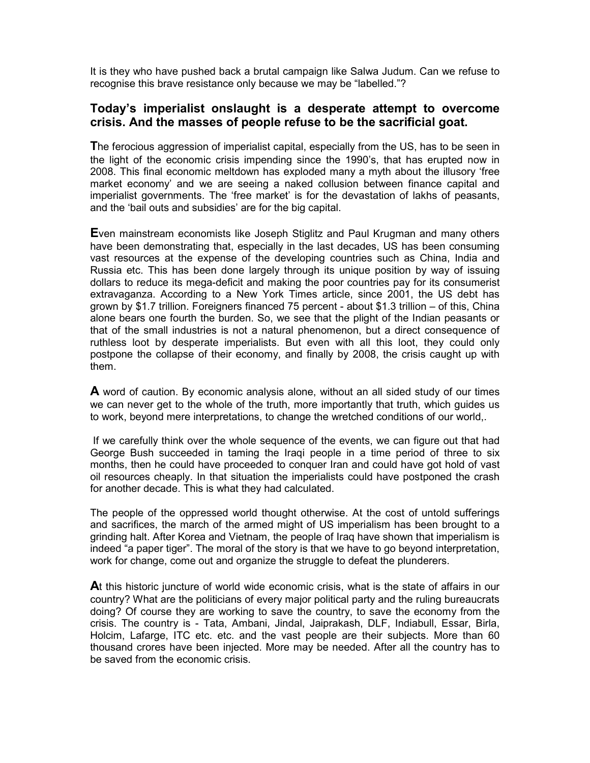It is they who have pushed back a brutal campaign like Salwa Judum. Can we refuse to recognise this brave resistance only because we may be "labelled."?

# **Today's imperialist onslaught is a desperate attempt to overcome crisis. And the masses of people refuse to be the sacrificial goat.**

**T**he ferocious aggression of imperialist capital, especially from the US, has to be seen in the light of the economic crisis impending since the 1990's, that has erupted now in 2008. This final economic meltdown has exploded many a myth about the illusory 'free market economy' and we are seeing a naked collusion between finance capital and imperialist governments. The 'free market' is for the devastation of lakhs of peasants, and the 'bail outs and subsidies' are for the big capital.

**E**ven mainstream economists like Joseph Stiglitz and Paul Krugman and many others have been demonstrating that, especially in the last decades, US has been consuming vast resources at the expense of the developing countries such as China, India and Russia etc. This has been done largely through its unique position by way of issuing dollars to reduce its mega-deficit and making the poor countries pay for its consumerist extravaganza. According to a New York Times article, since 2001, the US debt has grown by \$1.7 trillion. Foreigners financed 75 percent - about \$1.3 trillion – of this, China alone bears one fourth the burden. So, we see that the plight of the Indian peasants or that of the small industries is not a natural phenomenon, but a direct consequence of ruthless loot by desperate imperialists. But even with all this loot, they could only postpone the collapse of their economy, and finally by 2008, the crisis caught up with them.

**A** word of caution. By economic analysis alone, without an all sided study of our times we can never get to the whole of the truth, more importantly that truth, which guides us to work, beyond mere interpretations, to change the wretched conditions of our world,.

 If we carefully think over the whole sequence of the events, we can figure out that had George Bush succeeded in taming the Iraqi people in a time period of three to six months, then he could have proceeded to conquer Iran and could have got hold of vast oil resources cheaply. In that situation the imperialists could have postponed the crash for another decade. This is what they had calculated.

The people of the oppressed world thought otherwise. At the cost of untold sufferings and sacrifices, the march of the armed might of US imperialism has been brought to a grinding halt. After Korea and Vietnam, the people of Iraq have shown that imperialism is indeed "a paper tiger". The moral of the story is that we have to go beyond interpretation, work for change, come out and organize the struggle to defeat the plunderers.

**A**t this historic juncture of world wide economic crisis, what is the state of affairs in our country? What are the politicians of every major political party and the ruling bureaucrats doing? Of course they are working to save the country, to save the economy from the crisis. The country is - Tata, Ambani, Jindal, Jaiprakash, DLF, Indiabull, Essar, Birla, Holcim, Lafarge, ITC etc. etc. and the vast people are their subjects. More than 60 thousand crores have been injected. More may be needed. After all the country has to be saved from the economic crisis.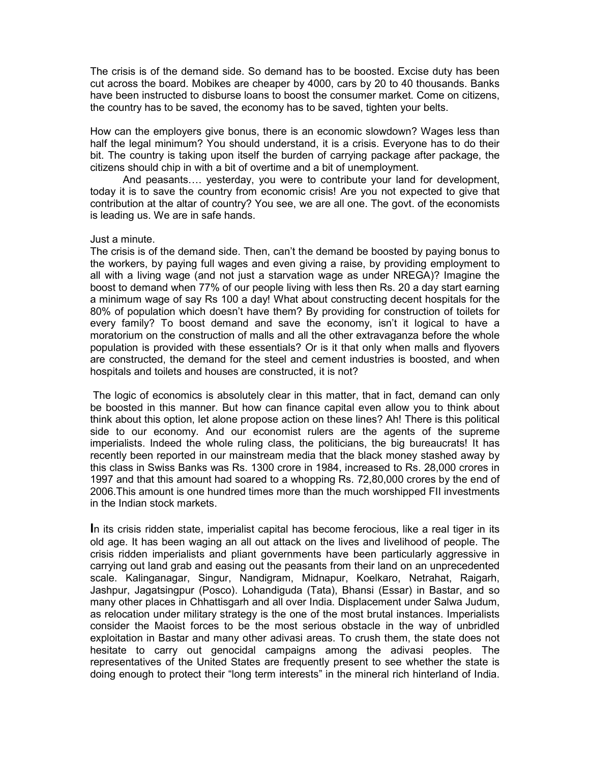The crisis is of the demand side. So demand has to be boosted. Excise duty has been cut across the board. Mobikes are cheaper by 4000, cars by 20 to 40 thousands. Banks have been instructed to disburse loans to boost the consumer market. Come on citizens, the country has to be saved, the economy has to be saved, tighten your belts.

How can the employers give bonus, there is an economic slowdown? Wages less than half the legal minimum? You should understand, it is a crisis. Everyone has to do their bit. The country is taking upon itself the burden of carrying package after package, the citizens should chip in with a bit of overtime and a bit of unemployment.

And peasants…. yesterday, you were to contribute your land for development, today it is to save the country from economic crisis! Are you not expected to give that contribution at the altar of country? You see, we are all one. The govt. of the economists is leading us. We are in safe hands.

## Just a minute.

The crisis is of the demand side. Then, can't the demand be boosted by paying bonus to the workers, by paying full wages and even giving a raise, by providing employment to all with a living wage (and not just a starvation wage as under NREGA)? Imagine the boost to demand when 77% of our people living with less then Rs. 20 a day start earning a minimum wage of say Rs 100 a day! What about constructing decent hospitals for the 80% of population which doesn't have them? By providing for construction of toilets for every family? To boost demand and save the economy, isn't it logical to have a moratorium on the construction of malls and all the other extravaganza before the whole population is provided with these essentials? Or is it that only when malls and flyovers are constructed, the demand for the steel and cement industries is boosted, and when hospitals and toilets and houses are constructed, it is not?

 The logic of economics is absolutely clear in this matter, that in fact, demand can only be boosted in this manner. But how can finance capital even allow you to think about think about this option, let alone propose action on these lines? Ah! There is this political side to our economy. And our economist rulers are the agents of the supreme imperialists. Indeed the whole ruling class, the politicians, the big bureaucrats! It has recently been reported in our mainstream media that the black money stashed away by this class in Swiss Banks was Rs. 1300 crore in 1984, increased to Rs. 28,000 crores in 1997 and that this amount had soared to a whopping Rs. 72,80,000 crores by the end of 2006.This amount is one hundred times more than the much worshipped FII investments in the Indian stock markets.

**I**n its crisis ridden state, imperialist capital has become ferocious, like a real tiger in its old age. It has been waging an all out attack on the lives and livelihood of people. The crisis ridden imperialists and pliant governments have been particularly aggressive in carrying out land grab and easing out the peasants from their land on an unprecedented scale. Kalinganagar, Singur, Nandigram, Midnapur, Koelkaro, Netrahat, Raigarh, Jashpur, Jagatsingpur (Posco). Lohandiguda (Tata), Bhansi (Essar) in Bastar, and so many other places in Chhattisgarh and all over India. Displacement under Salwa Judum, as relocation under military strategy is the one of the most brutal instances. Imperialists consider the Maoist forces to be the most serious obstacle in the way of unbridled exploitation in Bastar and many other adivasi areas. To crush them, the state does not hesitate to carry out genocidal campaigns among the adivasi peoples. The representatives of the United States are frequently present to see whether the state is doing enough to protect their "long term interests" in the mineral rich hinterland of India.